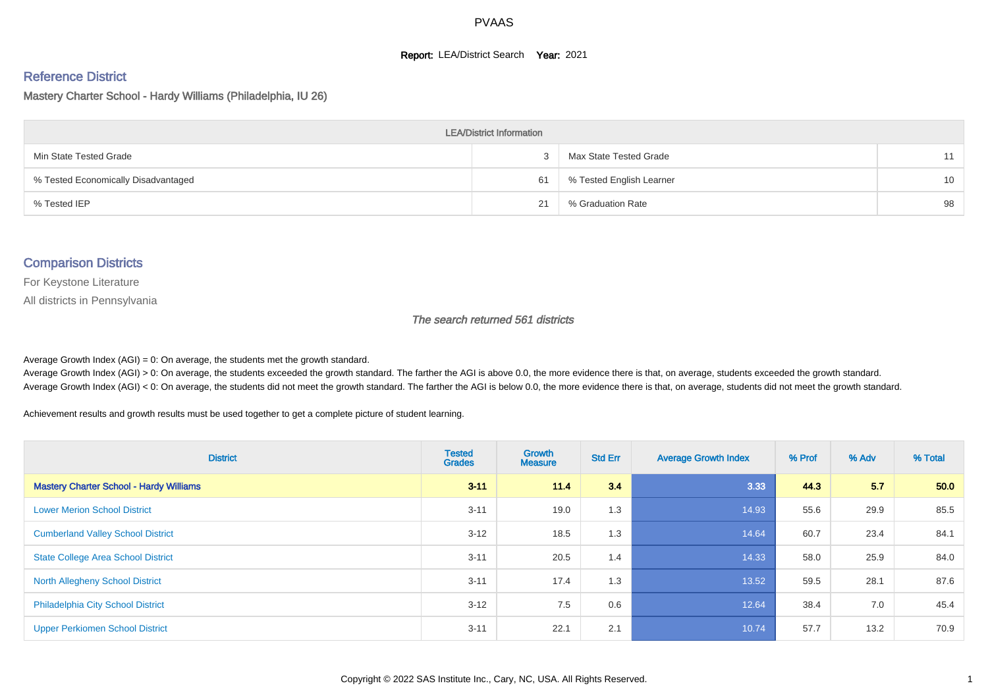#### **Report: LEA/District Search Year: 2021**

#### Reference District

Mastery Charter School - Hardy Williams (Philadelphia, IU 26)

| <b>LEA/District Information</b>     |    |                          |                 |  |  |  |  |  |  |  |
|-------------------------------------|----|--------------------------|-----------------|--|--|--|--|--|--|--|
| Min State Tested Grade              |    | Max State Tested Grade   | 11              |  |  |  |  |  |  |  |
| % Tested Economically Disadvantaged | 61 | % Tested English Learner | 10 <sup>1</sup> |  |  |  |  |  |  |  |
| % Tested IEP                        | 21 | % Graduation Rate        | 98              |  |  |  |  |  |  |  |

#### Comparison Districts

For Keystone Literature

All districts in Pennsylvania

The search returned 561 districts

Average Growth Index  $(AGI) = 0$ : On average, the students met the growth standard.

Average Growth Index (AGI) > 0: On average, the students exceeded the growth standard. The farther the AGI is above 0.0, the more evidence there is that, on average, students exceeded the growth standard. Average Growth Index (AGI) < 0: On average, the students did not meet the growth standard. The farther the AGI is below 0.0, the more evidence there is that, on average, students did not meet the growth standard.

Achievement results and growth results must be used together to get a complete picture of student learning.

| <b>District</b>                                | <b>Tested</b><br><b>Grades</b> | <b>Growth</b><br><b>Measure</b> | <b>Std Err</b> | <b>Average Growth Index</b> | % Prof | % Adv | % Total |
|------------------------------------------------|--------------------------------|---------------------------------|----------------|-----------------------------|--------|-------|---------|
| <b>Mastery Charter School - Hardy Williams</b> | $3 - 11$                       | 11.4                            | 3.4            | 3.33                        | 44.3   | 5.7   | 50.0    |
| <b>Lower Merion School District</b>            | $3 - 11$                       | 19.0                            | 1.3            | 14.93                       | 55.6   | 29.9  | 85.5    |
| <b>Cumberland Valley School District</b>       | $3 - 12$                       | 18.5                            | 1.3            | 14.64                       | 60.7   | 23.4  | 84.1    |
| <b>State College Area School District</b>      | $3 - 11$                       | 20.5                            | 1.4            | 14.33                       | 58.0   | 25.9  | 84.0    |
| <b>North Allegheny School District</b>         | $3 - 11$                       | 17.4                            | 1.3            | 13.52                       | 59.5   | 28.1  | 87.6    |
| <b>Philadelphia City School District</b>       | $3 - 12$                       | 7.5                             | 0.6            | 12.64                       | 38.4   | 7.0   | 45.4    |
| <b>Upper Perkiomen School District</b>         | $3 - 11$                       | 22.1                            | 2.1            | 10.74                       | 57.7   | 13.2  | 70.9    |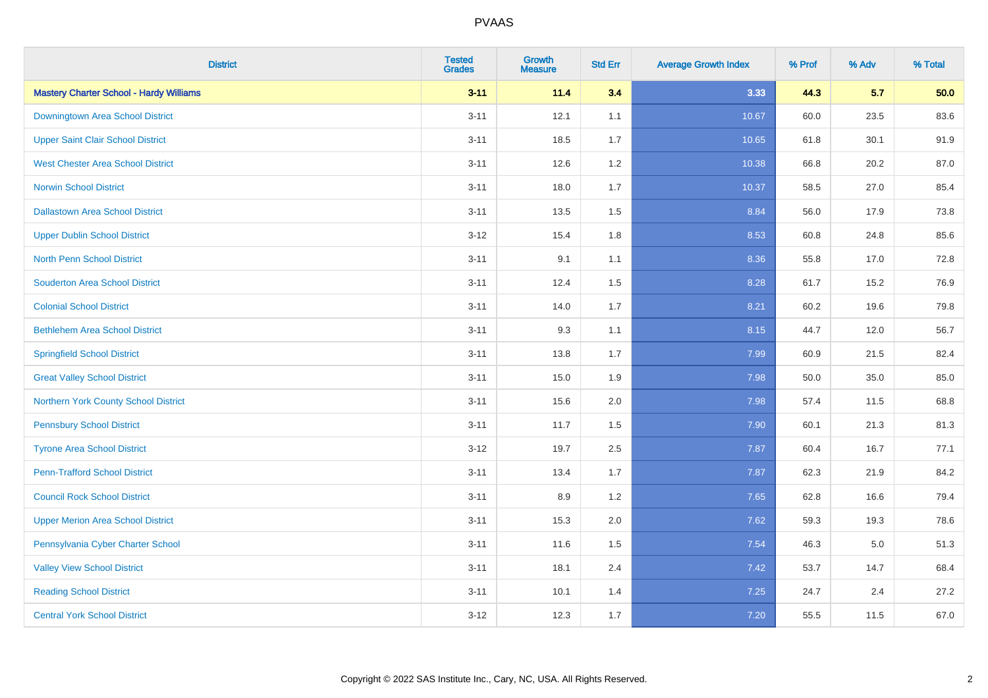| <b>District</b>                                | <b>Tested</b><br><b>Grades</b> | <b>Growth</b><br><b>Measure</b> | <b>Std Err</b> | <b>Average Growth Index</b> | % Prof | % Adv   | % Total |
|------------------------------------------------|--------------------------------|---------------------------------|----------------|-----------------------------|--------|---------|---------|
| <b>Mastery Charter School - Hardy Williams</b> | $3 - 11$                       | 11.4                            | 3.4            | 3.33                        | 44.3   | 5.7     | 50.0    |
| Downingtown Area School District               | $3 - 11$                       | 12.1                            | 1.1            | 10.67                       | 60.0   | 23.5    | 83.6    |
| <b>Upper Saint Clair School District</b>       | $3 - 11$                       | 18.5                            | 1.7            | 10.65                       | 61.8   | 30.1    | 91.9    |
| <b>West Chester Area School District</b>       | $3 - 11$                       | 12.6                            | 1.2            | 10.38                       | 66.8   | 20.2    | 87.0    |
| <b>Norwin School District</b>                  | $3 - 11$                       | 18.0                            | 1.7            | 10.37                       | 58.5   | 27.0    | 85.4    |
| <b>Dallastown Area School District</b>         | $3 - 11$                       | 13.5                            | 1.5            | 8.84                        | 56.0   | 17.9    | 73.8    |
| <b>Upper Dublin School District</b>            | $3 - 12$                       | 15.4                            | 1.8            | 8.53                        | 60.8   | 24.8    | 85.6    |
| <b>North Penn School District</b>              | $3 - 11$                       | 9.1                             | 1.1            | 8.36                        | 55.8   | 17.0    | 72.8    |
| <b>Souderton Area School District</b>          | $3 - 11$                       | 12.4                            | 1.5            | 8.28                        | 61.7   | 15.2    | 76.9    |
| <b>Colonial School District</b>                | $3 - 11$                       | 14.0                            | 1.7            | 8.21                        | 60.2   | 19.6    | 79.8    |
| <b>Bethlehem Area School District</b>          | $3 - 11$                       | 9.3                             | 1.1            | 8.15                        | 44.7   | 12.0    | 56.7    |
| <b>Springfield School District</b>             | $3 - 11$                       | 13.8                            | 1.7            | 7.99                        | 60.9   | 21.5    | 82.4    |
| <b>Great Valley School District</b>            | $3 - 11$                       | 15.0                            | 1.9            | 7.98                        | 50.0   | 35.0    | 85.0    |
| Northern York County School District           | $3 - 11$                       | 15.6                            | 2.0            | 7.98                        | 57.4   | 11.5    | 68.8    |
| <b>Pennsbury School District</b>               | $3 - 11$                       | 11.7                            | 1.5            | 7.90                        | 60.1   | 21.3    | 81.3    |
| <b>Tyrone Area School District</b>             | $3 - 12$                       | 19.7                            | 2.5            | 7.87                        | 60.4   | 16.7    | 77.1    |
| <b>Penn-Trafford School District</b>           | $3 - 11$                       | 13.4                            | 1.7            | 7.87                        | 62.3   | 21.9    | 84.2    |
| <b>Council Rock School District</b>            | $3 - 11$                       | 8.9                             | 1.2            | 7.65                        | 62.8   | 16.6    | 79.4    |
| <b>Upper Merion Area School District</b>       | $3 - 11$                       | 15.3                            | 2.0            | 7.62                        | 59.3   | 19.3    | 78.6    |
| Pennsylvania Cyber Charter School              | $3 - 11$                       | 11.6                            | 1.5            | 7.54                        | 46.3   | $5.0\,$ | 51.3    |
| <b>Valley View School District</b>             | $3 - 11$                       | 18.1                            | 2.4            | 7.42                        | 53.7   | 14.7    | 68.4    |
| <b>Reading School District</b>                 | $3 - 11$                       | 10.1                            | 1.4            | 7.25                        | 24.7   | 2.4     | 27.2    |
| <b>Central York School District</b>            | $3 - 12$                       | 12.3                            | 1.7            | 7.20                        | 55.5   | 11.5    | 67.0    |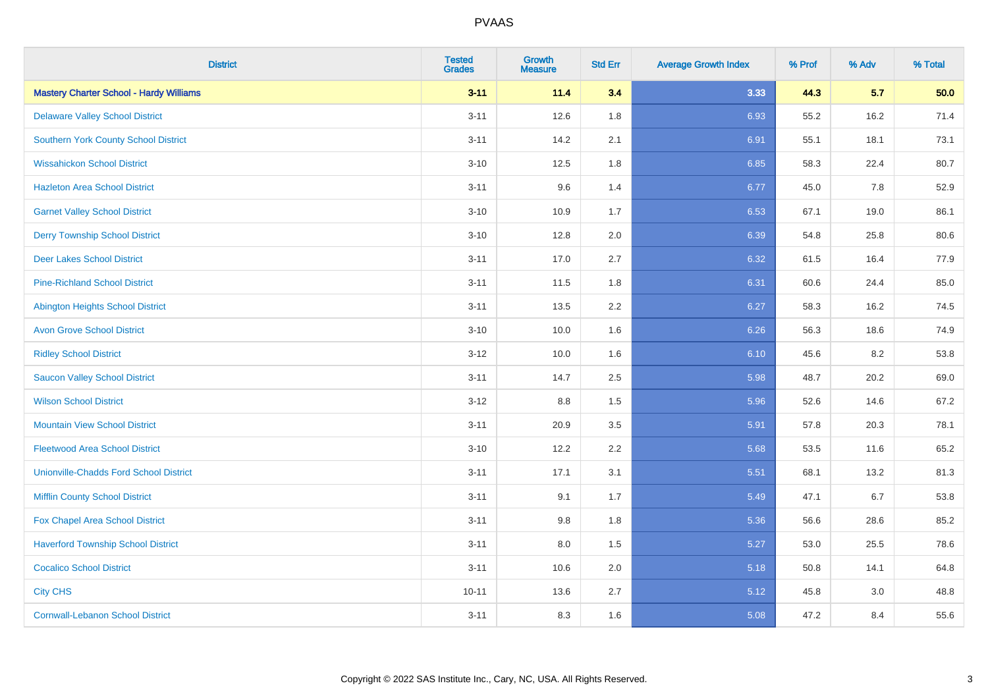| <b>District</b>                                | <b>Tested</b><br><b>Grades</b> | <b>Growth</b><br><b>Measure</b> | <b>Std Err</b> | <b>Average Growth Index</b> | % Prof | % Adv | % Total |
|------------------------------------------------|--------------------------------|---------------------------------|----------------|-----------------------------|--------|-------|---------|
| <b>Mastery Charter School - Hardy Williams</b> | $3 - 11$                       | 11.4                            | 3.4            | 3.33                        | 44.3   | 5.7   | 50.0    |
| <b>Delaware Valley School District</b>         | $3 - 11$                       | 12.6                            | 1.8            | 6.93                        | 55.2   | 16.2  | 71.4    |
| <b>Southern York County School District</b>    | $3 - 11$                       | 14.2                            | 2.1            | 6.91                        | 55.1   | 18.1  | 73.1    |
| <b>Wissahickon School District</b>             | $3 - 10$                       | 12.5                            | 1.8            | 6.85                        | 58.3   | 22.4  | 80.7    |
| <b>Hazleton Area School District</b>           | $3 - 11$                       | 9.6                             | 1.4            | 6.77                        | 45.0   | 7.8   | 52.9    |
| <b>Garnet Valley School District</b>           | $3 - 10$                       | 10.9                            | 1.7            | 6.53                        | 67.1   | 19.0  | 86.1    |
| <b>Derry Township School District</b>          | $3 - 10$                       | 12.8                            | 2.0            | 6.39                        | 54.8   | 25.8  | 80.6    |
| <b>Deer Lakes School District</b>              | $3 - 11$                       | 17.0                            | 2.7            | 6.32                        | 61.5   | 16.4  | 77.9    |
| <b>Pine-Richland School District</b>           | $3 - 11$                       | 11.5                            | 1.8            | 6.31                        | 60.6   | 24.4  | 85.0    |
| <b>Abington Heights School District</b>        | $3 - 11$                       | 13.5                            | 2.2            | 6.27                        | 58.3   | 16.2  | 74.5    |
| <b>Avon Grove School District</b>              | $3 - 10$                       | 10.0                            | 1.6            | 6.26                        | 56.3   | 18.6  | 74.9    |
| <b>Ridley School District</b>                  | $3 - 12$                       | 10.0                            | 1.6            | 6.10                        | 45.6   | 8.2   | 53.8    |
| <b>Saucon Valley School District</b>           | $3 - 11$                       | 14.7                            | 2.5            | 5.98                        | 48.7   | 20.2  | 69.0    |
| <b>Wilson School District</b>                  | $3 - 12$                       | $8.8\,$                         | 1.5            | 5.96                        | 52.6   | 14.6  | 67.2    |
| <b>Mountain View School District</b>           | $3 - 11$                       | 20.9                            | 3.5            | 5.91                        | 57.8   | 20.3  | 78.1    |
| <b>Fleetwood Area School District</b>          | $3 - 10$                       | 12.2                            | 2.2            | 5.68                        | 53.5   | 11.6  | 65.2    |
| <b>Unionville-Chadds Ford School District</b>  | $3 - 11$                       | 17.1                            | 3.1            | 5.51                        | 68.1   | 13.2  | 81.3    |
| <b>Mifflin County School District</b>          | $3 - 11$                       | 9.1                             | 1.7            | 5.49                        | 47.1   | 6.7   | 53.8    |
| Fox Chapel Area School District                | $3 - 11$                       | 9.8                             | 1.8            | 5.36                        | 56.6   | 28.6  | 85.2    |
| <b>Haverford Township School District</b>      | $3 - 11$                       | 8.0                             | 1.5            | 5.27                        | 53.0   | 25.5  | 78.6    |
| <b>Cocalico School District</b>                | $3 - 11$                       | 10.6                            | 2.0            | 5.18                        | 50.8   | 14.1  | 64.8    |
| <b>City CHS</b>                                | $10 - 11$                      | 13.6                            | 2.7            | 5.12                        | 45.8   | 3.0   | 48.8    |
| <b>Cornwall-Lebanon School District</b>        | $3 - 11$                       | 8.3                             | 1.6            | 5.08                        | 47.2   | 8.4   | 55.6    |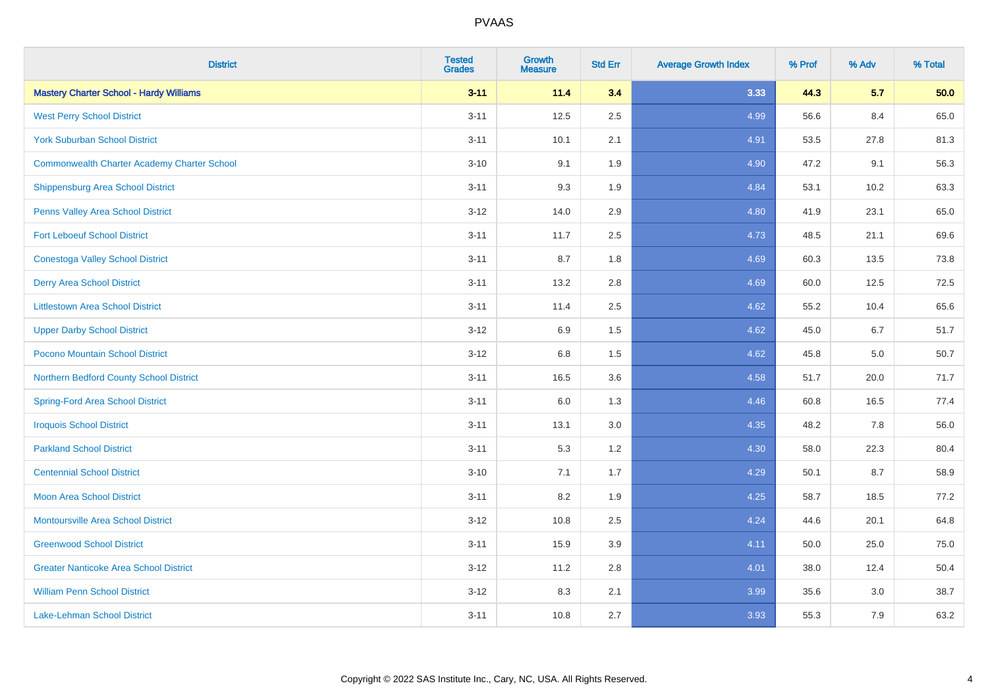| <b>District</b>                                    | <b>Tested</b><br><b>Grades</b> | <b>Growth</b><br><b>Measure</b> | <b>Std Err</b> | <b>Average Growth Index</b> | % Prof | % Adv | % Total |
|----------------------------------------------------|--------------------------------|---------------------------------|----------------|-----------------------------|--------|-------|---------|
| <b>Mastery Charter School - Hardy Williams</b>     | $3 - 11$                       | 11.4                            | 3.4            | 3.33                        | 44.3   | 5.7   | 50.0    |
| <b>West Perry School District</b>                  | $3 - 11$                       | 12.5                            | 2.5            | 4.99                        | 56.6   | 8.4   | 65.0    |
| <b>York Suburban School District</b>               | $3 - 11$                       | 10.1                            | 2.1            | 4.91                        | 53.5   | 27.8  | 81.3    |
| <b>Commonwealth Charter Academy Charter School</b> | $3 - 10$                       | 9.1                             | 1.9            | 4.90                        | 47.2   | 9.1   | 56.3    |
| <b>Shippensburg Area School District</b>           | $3 - 11$                       | 9.3                             | 1.9            | 4.84                        | 53.1   | 10.2  | 63.3    |
| Penns Valley Area School District                  | $3 - 12$                       | 14.0                            | 2.9            | 4.80                        | 41.9   | 23.1  | 65.0    |
| <b>Fort Leboeuf School District</b>                | $3 - 11$                       | 11.7                            | 2.5            | 4.73                        | 48.5   | 21.1  | 69.6    |
| <b>Conestoga Valley School District</b>            | $3 - 11$                       | 8.7                             | 1.8            | 4.69                        | 60.3   | 13.5  | 73.8    |
| <b>Derry Area School District</b>                  | $3 - 11$                       | 13.2                            | 2.8            | 4.69                        | 60.0   | 12.5  | 72.5    |
| <b>Littlestown Area School District</b>            | $3 - 11$                       | 11.4                            | 2.5            | 4.62                        | 55.2   | 10.4  | 65.6    |
| <b>Upper Darby School District</b>                 | $3 - 12$                       | 6.9                             | 1.5            | 4.62                        | 45.0   | 6.7   | 51.7    |
| Pocono Mountain School District                    | $3 - 12$                       | 6.8                             | 1.5            | 4.62                        | 45.8   | 5.0   | 50.7    |
| Northern Bedford County School District            | $3 - 11$                       | 16.5                            | 3.6            | 4.58                        | 51.7   | 20.0  | 71.7    |
| <b>Spring-Ford Area School District</b>            | $3 - 11$                       | 6.0                             | 1.3            | 4.46                        | 60.8   | 16.5  | 77.4    |
| <b>Iroquois School District</b>                    | $3 - 11$                       | 13.1                            | 3.0            | 4.35                        | 48.2   | 7.8   | 56.0    |
| <b>Parkland School District</b>                    | $3 - 11$                       | 5.3                             | 1.2            | 4.30                        | 58.0   | 22.3  | 80.4    |
| <b>Centennial School District</b>                  | $3 - 10$                       | 7.1                             | 1.7            | 4.29                        | 50.1   | 8.7   | 58.9    |
| <b>Moon Area School District</b>                   | $3 - 11$                       | 8.2                             | 1.9            | 4.25                        | 58.7   | 18.5  | 77.2    |
| <b>Montoursville Area School District</b>          | $3 - 12$                       | 10.8                            | 2.5            | 4.24                        | 44.6   | 20.1  | 64.8    |
| <b>Greenwood School District</b>                   | $3 - 11$                       | 15.9                            | 3.9            | 4.11                        | 50.0   | 25.0  | 75.0    |
| <b>Greater Nanticoke Area School District</b>      | $3 - 12$                       | 11.2                            | 2.8            | 4.01                        | 38.0   | 12.4  | 50.4    |
| <b>William Penn School District</b>                | $3 - 12$                       | 8.3                             | 2.1            | 3.99                        | 35.6   | 3.0   | 38.7    |
| <b>Lake-Lehman School District</b>                 | $3 - 11$                       | 10.8                            | 2.7            | 3.93                        | 55.3   | 7.9   | 63.2    |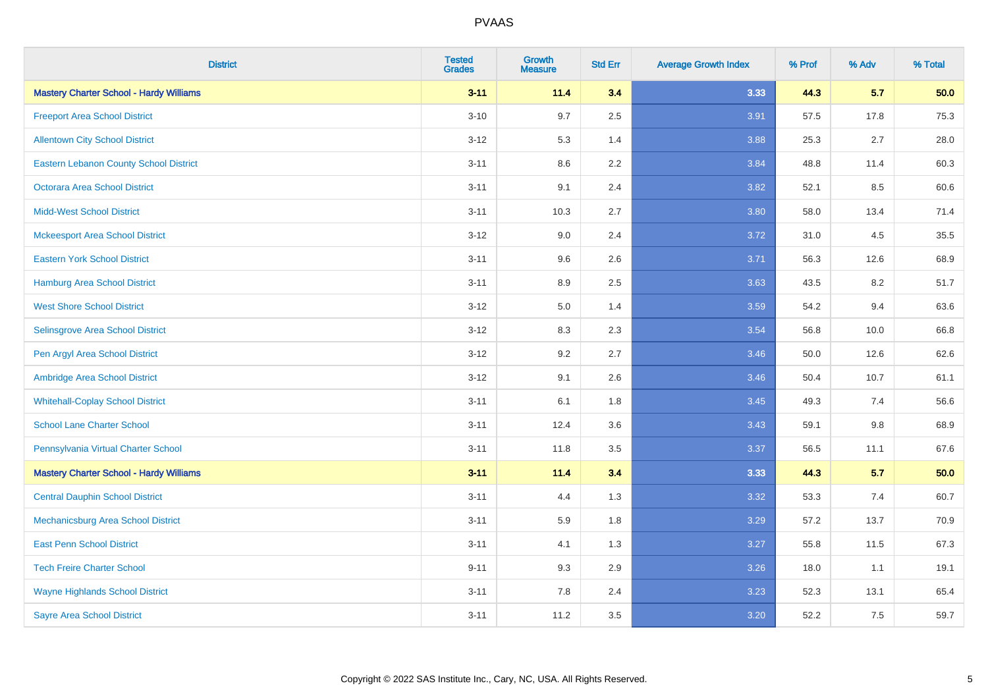| <b>District</b>                                | <b>Tested</b><br><b>Grades</b> | <b>Growth</b><br><b>Measure</b> | <b>Std Err</b> | <b>Average Growth Index</b> | % Prof | % Adv   | % Total |
|------------------------------------------------|--------------------------------|---------------------------------|----------------|-----------------------------|--------|---------|---------|
| <b>Mastery Charter School - Hardy Williams</b> | $3 - 11$                       | 11.4                            | 3.4            | 3.33                        | 44.3   | 5.7     | 50.0    |
| <b>Freeport Area School District</b>           | $3 - 10$                       | 9.7                             | 2.5            | 3.91                        | 57.5   | 17.8    | 75.3    |
| <b>Allentown City School District</b>          | $3 - 12$                       | 5.3                             | 1.4            | 3.88                        | 25.3   | 2.7     | 28.0    |
| <b>Eastern Lebanon County School District</b>  | $3 - 11$                       | 8.6                             | 2.2            | 3.84                        | 48.8   | 11.4    | 60.3    |
| <b>Octorara Area School District</b>           | $3 - 11$                       | 9.1                             | 2.4            | 3.82                        | 52.1   | 8.5     | 60.6    |
| <b>Midd-West School District</b>               | $3 - 11$                       | 10.3                            | 2.7            | 3.80                        | 58.0   | 13.4    | 71.4    |
| <b>Mckeesport Area School District</b>         | $3 - 12$                       | 9.0                             | 2.4            | 3.72                        | 31.0   | 4.5     | 35.5    |
| <b>Eastern York School District</b>            | $3 - 11$                       | 9.6                             | 2.6            | 3.71                        | 56.3   | 12.6    | 68.9    |
| <b>Hamburg Area School District</b>            | $3 - 11$                       | 8.9                             | 2.5            | 3.63                        | 43.5   | 8.2     | 51.7    |
| <b>West Shore School District</b>              | $3 - 12$                       | 5.0                             | 1.4            | 3.59                        | 54.2   | 9.4     | 63.6    |
| Selinsgrove Area School District               | $3 - 12$                       | 8.3                             | 2.3            | 3.54                        | 56.8   | 10.0    | 66.8    |
| Pen Argyl Area School District                 | $3 - 12$                       | 9.2                             | 2.7            | 3.46                        | 50.0   | 12.6    | 62.6    |
| Ambridge Area School District                  | $3 - 12$                       | 9.1                             | 2.6            | 3.46                        | 50.4   | 10.7    | 61.1    |
| <b>Whitehall-Coplay School District</b>        | $3 - 11$                       | 6.1                             | 1.8            | 3.45                        | 49.3   | 7.4     | 56.6    |
| <b>School Lane Charter School</b>              | $3 - 11$                       | 12.4                            | 3.6            | 3.43                        | 59.1   | $9.8\,$ | 68.9    |
| Pennsylvania Virtual Charter School            | $3 - 11$                       | 11.8                            | $3.5\,$        | 3.37                        | 56.5   | 11.1    | 67.6    |
| <b>Mastery Charter School - Hardy Williams</b> | $3 - 11$                       | 11.4                            | 3.4            | 3.33                        | 44.3   | 5.7     | 50.0    |
| <b>Central Dauphin School District</b>         | $3 - 11$                       | 4.4                             | 1.3            | 3.32                        | 53.3   | 7.4     | 60.7    |
| Mechanicsburg Area School District             | $3 - 11$                       | 5.9                             | 1.8            | 3.29                        | 57.2   | 13.7    | 70.9    |
| <b>East Penn School District</b>               | $3 - 11$                       | 4.1                             | 1.3            | 3.27                        | 55.8   | 11.5    | 67.3    |
| <b>Tech Freire Charter School</b>              | $9 - 11$                       | 9.3                             | 2.9            | 3.26                        | 18.0   | 1.1     | 19.1    |
| <b>Wayne Highlands School District</b>         | $3 - 11$                       | 7.8                             | 2.4            | 3.23                        | 52.3   | 13.1    | 65.4    |
| <b>Sayre Area School District</b>              | $3 - 11$                       | 11.2                            | 3.5            | 3.20                        | 52.2   | 7.5     | 59.7    |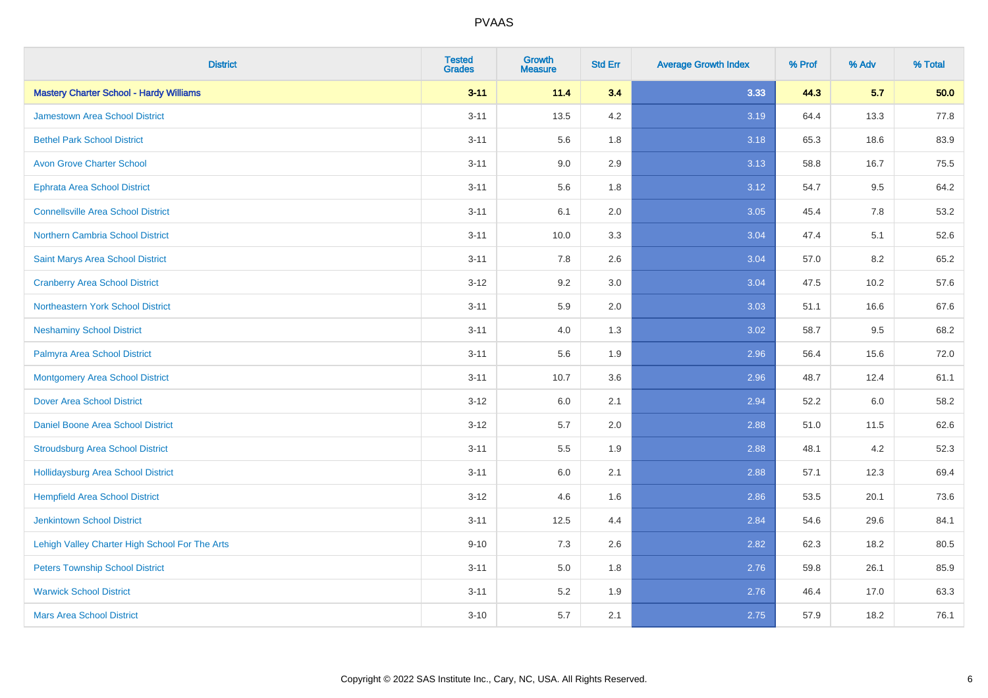| <b>District</b>                                | <b>Tested</b><br><b>Grades</b> | <b>Growth</b><br><b>Measure</b> | <b>Std Err</b> | <b>Average Growth Index</b> | % Prof | % Adv | % Total |
|------------------------------------------------|--------------------------------|---------------------------------|----------------|-----------------------------|--------|-------|---------|
| <b>Mastery Charter School - Hardy Williams</b> | $3 - 11$                       | 11.4                            | 3.4            | 3.33                        | 44.3   | 5.7   | 50.0    |
| <b>Jamestown Area School District</b>          | $3 - 11$                       | 13.5                            | $4.2\,$        | 3.19                        | 64.4   | 13.3  | 77.8    |
| <b>Bethel Park School District</b>             | $3 - 11$                       | 5.6                             | 1.8            | 3.18                        | 65.3   | 18.6  | 83.9    |
| <b>Avon Grove Charter School</b>               | $3 - 11$                       | 9.0                             | 2.9            | 3.13                        | 58.8   | 16.7  | 75.5    |
| <b>Ephrata Area School District</b>            | $3 - 11$                       | 5.6                             | 1.8            | 3.12                        | 54.7   | 9.5   | 64.2    |
| <b>Connellsville Area School District</b>      | $3 - 11$                       | 6.1                             | 2.0            | 3.05                        | 45.4   | 7.8   | 53.2    |
| <b>Northern Cambria School District</b>        | $3 - 11$                       | 10.0                            | 3.3            | 3.04                        | 47.4   | 5.1   | 52.6    |
| Saint Marys Area School District               | $3 - 11$                       | 7.8                             | 2.6            | 3.04                        | 57.0   | 8.2   | 65.2    |
| <b>Cranberry Area School District</b>          | $3 - 12$                       | 9.2                             | 3.0            | 3.04                        | 47.5   | 10.2  | 57.6    |
| Northeastern York School District              | $3 - 11$                       | 5.9                             | 2.0            | 3.03                        | 51.1   | 16.6  | 67.6    |
| <b>Neshaminy School District</b>               | $3 - 11$                       | 4.0                             | 1.3            | 3.02                        | 58.7   | 9.5   | 68.2    |
| Palmyra Area School District                   | $3 - 11$                       | 5.6                             | 1.9            | 2.96                        | 56.4   | 15.6  | 72.0    |
| <b>Montgomery Area School District</b>         | $3 - 11$                       | 10.7                            | 3.6            | 2.96                        | 48.7   | 12.4  | 61.1    |
| <b>Dover Area School District</b>              | $3 - 12$                       | 6.0                             | 2.1            | 2.94                        | 52.2   | 6.0   | 58.2    |
| Daniel Boone Area School District              | $3 - 12$                       | 5.7                             | 2.0            | 2.88                        | 51.0   | 11.5  | 62.6    |
| <b>Stroudsburg Area School District</b>        | $3 - 11$                       | $5.5\,$                         | 1.9            | 2.88                        | 48.1   | 4.2   | 52.3    |
| <b>Hollidaysburg Area School District</b>      | $3 - 11$                       | 6.0                             | 2.1            | 2.88                        | 57.1   | 12.3  | 69.4    |
| <b>Hempfield Area School District</b>          | $3 - 12$                       | 4.6                             | 1.6            | 2.86                        | 53.5   | 20.1  | 73.6    |
| <b>Jenkintown School District</b>              | $3 - 11$                       | 12.5                            | 4.4            | 2.84                        | 54.6   | 29.6  | 84.1    |
| Lehigh Valley Charter High School For The Arts | $9 - 10$                       | 7.3                             | 2.6            | 2.82                        | 62.3   | 18.2  | 80.5    |
| <b>Peters Township School District</b>         | $3 - 11$                       | 5.0                             | 1.8            | 2.76                        | 59.8   | 26.1  | 85.9    |
| <b>Warwick School District</b>                 | $3 - 11$                       | 5.2                             | 1.9            | 2.76                        | 46.4   | 17.0  | 63.3    |
| <b>Mars Area School District</b>               | $3 - 10$                       | 5.7                             | 2.1            | 2.75                        | 57.9   | 18.2  | 76.1    |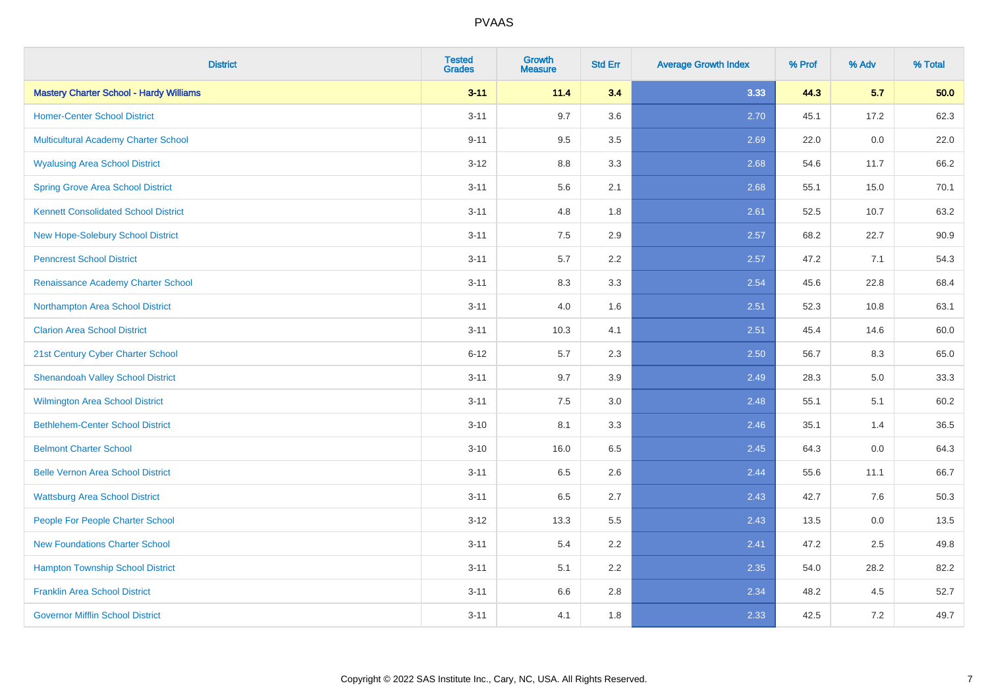| <b>District</b>                                | <b>Tested</b><br><b>Grades</b> | <b>Growth</b><br><b>Measure</b> | <b>Std Err</b> | <b>Average Growth Index</b> | % Prof | % Adv | % Total |
|------------------------------------------------|--------------------------------|---------------------------------|----------------|-----------------------------|--------|-------|---------|
| <b>Mastery Charter School - Hardy Williams</b> | $3 - 11$                       | 11.4                            | 3.4            | 3.33                        | 44.3   | 5.7   | 50.0    |
| <b>Homer-Center School District</b>            | $3 - 11$                       | 9.7                             | 3.6            | 2.70                        | 45.1   | 17.2  | 62.3    |
| Multicultural Academy Charter School           | $9 - 11$                       | 9.5                             | 3.5            | 2.69                        | 22.0   | 0.0   | 22.0    |
| <b>Wyalusing Area School District</b>          | $3-12$                         | 8.8                             | 3.3            | 2.68                        | 54.6   | 11.7  | 66.2    |
| <b>Spring Grove Area School District</b>       | $3 - 11$                       | 5.6                             | 2.1            | 2.68                        | 55.1   | 15.0  | 70.1    |
| <b>Kennett Consolidated School District</b>    | $3 - 11$                       | 4.8                             | 1.8            | 2.61                        | 52.5   | 10.7  | 63.2    |
| New Hope-Solebury School District              | $3 - 11$                       | 7.5                             | 2.9            | 2.57                        | 68.2   | 22.7  | 90.9    |
| <b>Penncrest School District</b>               | $3 - 11$                       | 5.7                             | 2.2            | 2.57                        | 47.2   | 7.1   | 54.3    |
| Renaissance Academy Charter School             | $3 - 11$                       | 8.3                             | 3.3            | 2.54                        | 45.6   | 22.8  | 68.4    |
| Northampton Area School District               | $3 - 11$                       | 4.0                             | 1.6            | 2.51                        | 52.3   | 10.8  | 63.1    |
| <b>Clarion Area School District</b>            | $3 - 11$                       | 10.3                            | 4.1            | 2.51                        | 45.4   | 14.6  | 60.0    |
| 21st Century Cyber Charter School              | $6 - 12$                       | 5.7                             | 2.3            | 2.50                        | 56.7   | 8.3   | 65.0    |
| <b>Shenandoah Valley School District</b>       | $3 - 11$                       | 9.7                             | 3.9            | 2.49                        | 28.3   | 5.0   | 33.3    |
| <b>Wilmington Area School District</b>         | $3 - 11$                       | 7.5                             | 3.0            | 2.48                        | 55.1   | 5.1   | 60.2    |
| <b>Bethlehem-Center School District</b>        | $3 - 10$                       | 8.1                             | 3.3            | 2.46                        | 35.1   | 1.4   | 36.5    |
| <b>Belmont Charter School</b>                  | $3 - 10$                       | 16.0                            | 6.5            | 2.45                        | 64.3   | 0.0   | 64.3    |
| <b>Belle Vernon Area School District</b>       | $3 - 11$                       | 6.5                             | 2.6            | 2.44                        | 55.6   | 11.1  | 66.7    |
| <b>Wattsburg Area School District</b>          | $3 - 11$                       | 6.5                             | 2.7            | 2.43                        | 42.7   | 7.6   | 50.3    |
| People For People Charter School               | $3 - 12$                       | 13.3                            | 5.5            | 2.43                        | 13.5   | 0.0   | 13.5    |
| <b>New Foundations Charter School</b>          | $3 - 11$                       | 5.4                             | 2.2            | 2.41                        | 47.2   | 2.5   | 49.8    |
| <b>Hampton Township School District</b>        | $3 - 11$                       | 5.1                             | 2.2            | 2.35                        | 54.0   | 28.2  | 82.2    |
| <b>Franklin Area School District</b>           | $3 - 11$                       | 6.6                             | 2.8            | 2.34                        | 48.2   | 4.5   | 52.7    |
| <b>Governor Mifflin School District</b>        | $3 - 11$                       | 4.1                             | 1.8            | 2.33                        | 42.5   | 7.2   | 49.7    |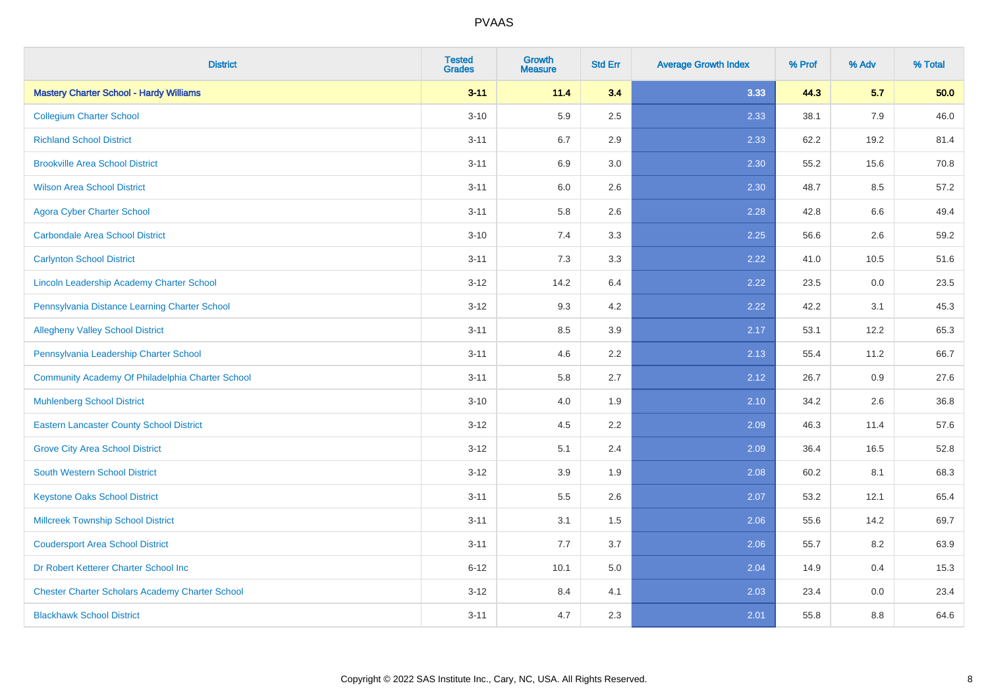| <b>District</b>                                        | <b>Tested</b><br><b>Grades</b> | <b>Growth</b><br><b>Measure</b> | <b>Std Err</b> | <b>Average Growth Index</b> | % Prof | % Adv | % Total |
|--------------------------------------------------------|--------------------------------|---------------------------------|----------------|-----------------------------|--------|-------|---------|
| <b>Mastery Charter School - Hardy Williams</b>         | $3 - 11$                       | 11.4                            | 3.4            | 3.33                        | 44.3   | 5.7   | 50.0    |
| <b>Collegium Charter School</b>                        | $3 - 10$                       | 5.9                             | 2.5            | 2.33                        | 38.1   | 7.9   | 46.0    |
| <b>Richland School District</b>                        | $3 - 11$                       | 6.7                             | 2.9            | 2.33                        | 62.2   | 19.2  | 81.4    |
| <b>Brookville Area School District</b>                 | $3 - 11$                       | 6.9                             | 3.0            | 2.30                        | 55.2   | 15.6  | 70.8    |
| <b>Wilson Area School District</b>                     | $3 - 11$                       | 6.0                             | 2.6            | 2.30                        | 48.7   | 8.5   | 57.2    |
| <b>Agora Cyber Charter School</b>                      | $3 - 11$                       | 5.8                             | 2.6            | 2.28                        | 42.8   | 6.6   | 49.4    |
| <b>Carbondale Area School District</b>                 | $3 - 10$                       | 7.4                             | 3.3            | 2.25                        | 56.6   | 2.6   | 59.2    |
| <b>Carlynton School District</b>                       | $3 - 11$                       | 7.3                             | 3.3            | 2.22                        | 41.0   | 10.5  | 51.6    |
| Lincoln Leadership Academy Charter School              | $3 - 12$                       | 14.2                            | 6.4            | 2.22                        | 23.5   | 0.0   | 23.5    |
| Pennsylvania Distance Learning Charter School          | $3 - 12$                       | 9.3                             | 4.2            | 2.22                        | 42.2   | 3.1   | 45.3    |
| <b>Allegheny Valley School District</b>                | $3 - 11$                       | 8.5                             | 3.9            | 2.17                        | 53.1   | 12.2  | 65.3    |
| Pennsylvania Leadership Charter School                 | $3 - 11$                       | 4.6                             | 2.2            | 2.13                        | 55.4   | 11.2  | 66.7    |
| Community Academy Of Philadelphia Charter School       | $3 - 11$                       | 5.8                             | 2.7            | 2.12                        | 26.7   | 0.9   | 27.6    |
| <b>Muhlenberg School District</b>                      | $3 - 10$                       | 4.0                             | 1.9            | 2.10                        | 34.2   | 2.6   | 36.8    |
| <b>Eastern Lancaster County School District</b>        | $3 - 12$                       | 4.5                             | 2.2            | 2.09                        | 46.3   | 11.4  | 57.6    |
| <b>Grove City Area School District</b>                 | $3 - 12$                       | 5.1                             | 2.4            | 2.09                        | 36.4   | 16.5  | 52.8    |
| <b>South Western School District</b>                   | $3 - 12$                       | 3.9                             | 1.9            | 2.08                        | 60.2   | 8.1   | 68.3    |
| <b>Keystone Oaks School District</b>                   | $3 - 11$                       | 5.5                             | 2.6            | 2.07                        | 53.2   | 12.1  | 65.4    |
| <b>Millcreek Township School District</b>              | $3 - 11$                       | 3.1                             | 1.5            | 2.06                        | 55.6   | 14.2  | 69.7    |
| <b>Coudersport Area School District</b>                | $3 - 11$                       | 7.7                             | 3.7            | 2.06                        | 55.7   | 8.2   | 63.9    |
| Dr Robert Ketterer Charter School Inc                  | $6 - 12$                       | 10.1                            | 5.0            | 2.04                        | 14.9   | 0.4   | 15.3    |
| <b>Chester Charter Scholars Academy Charter School</b> | $3 - 12$                       | 8.4                             | 4.1            | 2.03                        | 23.4   | 0.0   | 23.4    |
| <b>Blackhawk School District</b>                       | $3 - 11$                       | 4.7                             | 2.3            | 2.01                        | 55.8   | 8.8   | 64.6    |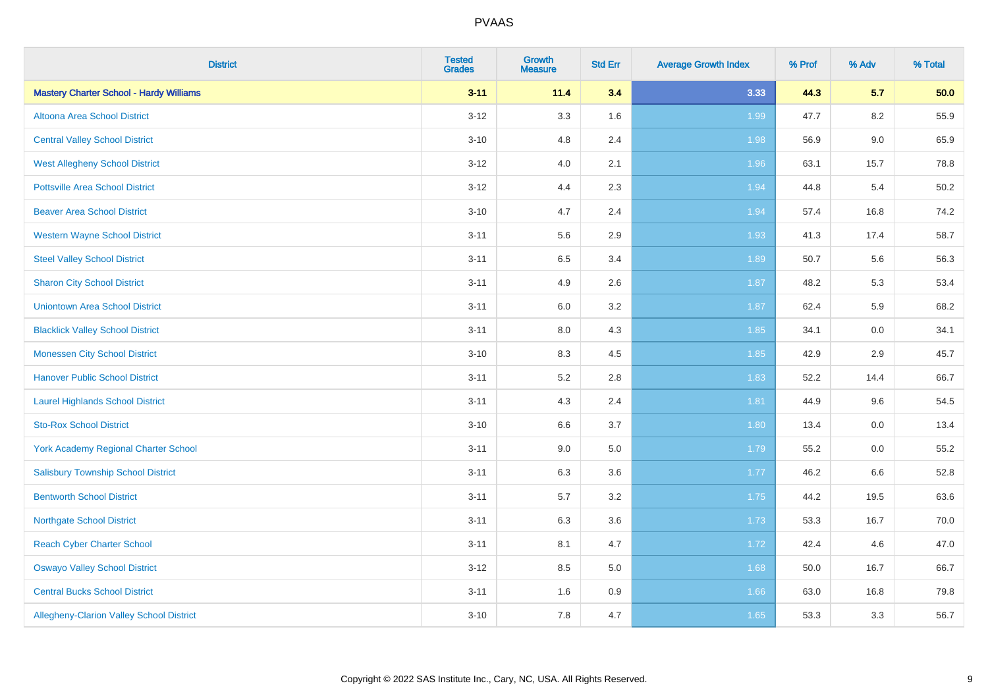| <b>District</b>                                 | <b>Tested</b><br><b>Grades</b> | <b>Growth</b><br><b>Measure</b> | <b>Std Err</b> | <b>Average Growth Index</b> | % Prof | % Adv | % Total |
|-------------------------------------------------|--------------------------------|---------------------------------|----------------|-----------------------------|--------|-------|---------|
| <b>Mastery Charter School - Hardy Williams</b>  | $3 - 11$                       | 11.4                            | 3.4            | 3.33                        | 44.3   | 5.7   | 50.0    |
| Altoona Area School District                    | $3 - 12$                       | 3.3                             | 1.6            | 1.99                        | 47.7   | 8.2   | 55.9    |
| <b>Central Valley School District</b>           | $3 - 10$                       | 4.8                             | 2.4            | 1.98                        | 56.9   | 9.0   | 65.9    |
| <b>West Allegheny School District</b>           | $3 - 12$                       | 4.0                             | 2.1            | 1.96                        | 63.1   | 15.7  | 78.8    |
| <b>Pottsville Area School District</b>          | $3 - 12$                       | 4.4                             | 2.3            | 1.94                        | 44.8   | 5.4   | 50.2    |
| <b>Beaver Area School District</b>              | $3 - 10$                       | 4.7                             | 2.4            | 1.94                        | 57.4   | 16.8  | 74.2    |
| <b>Western Wayne School District</b>            | $3 - 11$                       | 5.6                             | 2.9            | 1.93                        | 41.3   | 17.4  | 58.7    |
| <b>Steel Valley School District</b>             | $3 - 11$                       | 6.5                             | 3.4            | 1.89                        | 50.7   | 5.6   | 56.3    |
| <b>Sharon City School District</b>              | $3 - 11$                       | 4.9                             | 2.6            | 1.87                        | 48.2   | 5.3   | 53.4    |
| <b>Uniontown Area School District</b>           | $3 - 11$                       | 6.0                             | $3.2\,$        | 1.87                        | 62.4   | 5.9   | 68.2    |
| <b>Blacklick Valley School District</b>         | $3 - 11$                       | 8.0                             | 4.3            | 1.85                        | 34.1   | 0.0   | 34.1    |
| <b>Monessen City School District</b>            | $3 - 10$                       | 8.3                             | 4.5            | 1.85                        | 42.9   | 2.9   | 45.7    |
| <b>Hanover Public School District</b>           | $3 - 11$                       | 5.2                             | $2.8\,$        | 1.83                        | 52.2   | 14.4  | 66.7    |
| <b>Laurel Highlands School District</b>         | $3 - 11$                       | 4.3                             | 2.4            | 1.81                        | 44.9   | 9.6   | 54.5    |
| <b>Sto-Rox School District</b>                  | $3 - 10$                       | 6.6                             | 3.7            | 1.80                        | 13.4   | 0.0   | 13.4    |
| <b>York Academy Regional Charter School</b>     | $3 - 11$                       | 9.0                             | 5.0            | 1.79                        | 55.2   | 0.0   | 55.2    |
| <b>Salisbury Township School District</b>       | $3 - 11$                       | 6.3                             | 3.6            | 1.77                        | 46.2   | 6.6   | 52.8    |
| <b>Bentworth School District</b>                | $3 - 11$                       | 5.7                             | 3.2            | 1.75                        | 44.2   | 19.5  | 63.6    |
| <b>Northgate School District</b>                | $3 - 11$                       | 6.3                             | 3.6            | 1.73                        | 53.3   | 16.7  | 70.0    |
| <b>Reach Cyber Charter School</b>               | $3 - 11$                       | 8.1                             | 4.7            | 1.72                        | 42.4   | 4.6   | 47.0    |
| <b>Oswayo Valley School District</b>            | $3-12$                         | $8.5\,$                         | 5.0            | 1.68                        | 50.0   | 16.7  | 66.7    |
| <b>Central Bucks School District</b>            | $3 - 11$                       | 1.6                             | 0.9            | 1.66                        | 63.0   | 16.8  | 79.8    |
| <b>Allegheny-Clarion Valley School District</b> | $3 - 10$                       | 7.8                             | 4.7            | 1.65                        | 53.3   | 3.3   | 56.7    |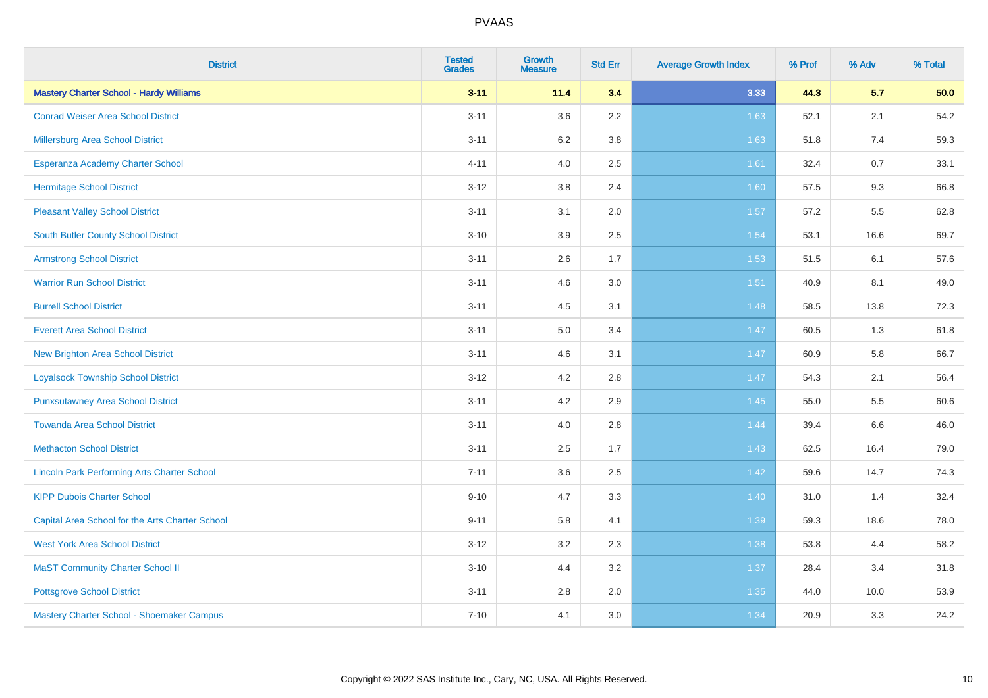| <b>District</b>                                    | <b>Tested</b><br><b>Grades</b> | <b>Growth</b><br><b>Measure</b> | <b>Std Err</b> | <b>Average Growth Index</b> | % Prof | % Adv | % Total |
|----------------------------------------------------|--------------------------------|---------------------------------|----------------|-----------------------------|--------|-------|---------|
| <b>Mastery Charter School - Hardy Williams</b>     | $3 - 11$                       | 11.4                            | 3.4            | 3.33                        | 44.3   | 5.7   | 50.0    |
| <b>Conrad Weiser Area School District</b>          | $3 - 11$                       | 3.6                             | 2.2            | 1.63                        | 52.1   | 2.1   | 54.2    |
| Millersburg Area School District                   | $3 - 11$                       | 6.2                             | 3.8            | 1.63                        | 51.8   | 7.4   | 59.3    |
| Esperanza Academy Charter School                   | $4 - 11$                       | 4.0                             | 2.5            | 1.61                        | 32.4   | 0.7   | 33.1    |
| <b>Hermitage School District</b>                   | $3 - 12$                       | 3.8                             | 2.4            | 1.60                        | 57.5   | 9.3   | 66.8    |
| <b>Pleasant Valley School District</b>             | $3 - 11$                       | 3.1                             | 2.0            | 1.57                        | 57.2   | 5.5   | 62.8    |
| <b>South Butler County School District</b>         | $3 - 10$                       | 3.9                             | 2.5            | 1.54                        | 53.1   | 16.6  | 69.7    |
| <b>Armstrong School District</b>                   | $3 - 11$                       | 2.6                             | 1.7            | 1.53                        | 51.5   | 6.1   | 57.6    |
| <b>Warrior Run School District</b>                 | $3 - 11$                       | 4.6                             | 3.0            | 1.51                        | 40.9   | 8.1   | 49.0    |
| <b>Burrell School District</b>                     | $3 - 11$                       | 4.5                             | 3.1            | 1.48                        | 58.5   | 13.8  | 72.3    |
| <b>Everett Area School District</b>                | $3 - 11$                       | 5.0                             | 3.4            | 1.47                        | 60.5   | 1.3   | 61.8    |
| <b>New Brighton Area School District</b>           | $3 - 11$                       | 4.6                             | 3.1            | 1.47                        | 60.9   | 5.8   | 66.7    |
| <b>Loyalsock Township School District</b>          | $3 - 12$                       | 4.2                             | 2.8            | 1.47                        | 54.3   | 2.1   | 56.4    |
| <b>Punxsutawney Area School District</b>           | $3 - 11$                       | 4.2                             | 2.9            | 1.45                        | 55.0   | 5.5   | 60.6    |
| <b>Towanda Area School District</b>                | $3 - 11$                       | 4.0                             | 2.8            | 1.44                        | 39.4   | 6.6   | 46.0    |
| <b>Methacton School District</b>                   | $3 - 11$                       | 2.5                             | 1.7            | 1.43                        | 62.5   | 16.4  | 79.0    |
| <b>Lincoln Park Performing Arts Charter School</b> | $7 - 11$                       | 3.6                             | 2.5            | 1.42                        | 59.6   | 14.7  | 74.3    |
| <b>KIPP Dubois Charter School</b>                  | $9 - 10$                       | 4.7                             | 3.3            | 1.40                        | 31.0   | 1.4   | 32.4    |
| Capital Area School for the Arts Charter School    | $9 - 11$                       | 5.8                             | 4.1            | 1.39                        | 59.3   | 18.6  | 78.0    |
| <b>West York Area School District</b>              | $3 - 12$                       | 3.2                             | 2.3            | 1.38                        | 53.8   | 4.4   | 58.2    |
| <b>MaST Community Charter School II</b>            | $3 - 10$                       | 4.4                             | 3.2            | 1.37                        | 28.4   | 3.4   | 31.8    |
| <b>Pottsgrove School District</b>                  | $3 - 11$                       | 2.8                             | 2.0            | 1.35                        | 44.0   | 10.0  | 53.9    |
| Mastery Charter School - Shoemaker Campus          | $7 - 10$                       | 4.1                             | 3.0            | 1.34                        | 20.9   | 3.3   | 24.2    |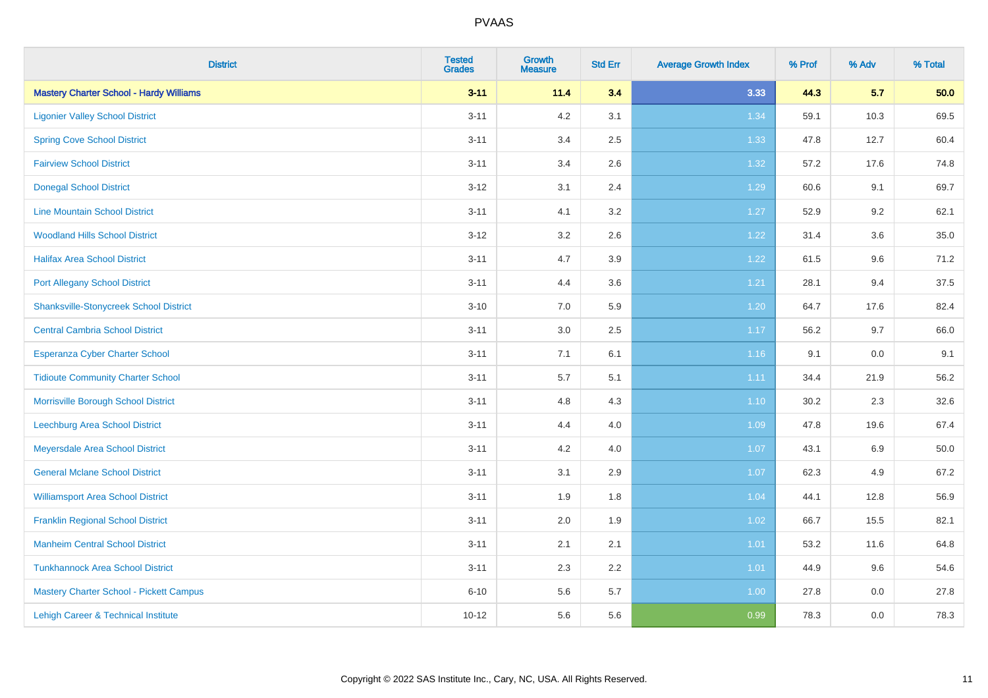| <b>District</b>                                | <b>Tested</b><br><b>Grades</b> | <b>Growth</b><br><b>Measure</b> | <b>Std Err</b> | <b>Average Growth Index</b> | % Prof | % Adv | % Total |
|------------------------------------------------|--------------------------------|---------------------------------|----------------|-----------------------------|--------|-------|---------|
| <b>Mastery Charter School - Hardy Williams</b> | $3 - 11$                       | 11.4                            | 3.4            | 3.33                        | 44.3   | 5.7   | 50.0    |
| <b>Ligonier Valley School District</b>         | $3 - 11$                       | 4.2                             | 3.1            | 1.34                        | 59.1   | 10.3  | 69.5    |
| <b>Spring Cove School District</b>             | $3 - 11$                       | 3.4                             | 2.5            | 1.33                        | 47.8   | 12.7  | 60.4    |
| <b>Fairview School District</b>                | $3 - 11$                       | 3.4                             | 2.6            | 1.32                        | 57.2   | 17.6  | 74.8    |
| <b>Donegal School District</b>                 | $3 - 12$                       | 3.1                             | 2.4            | 1.29                        | 60.6   | 9.1   | 69.7    |
| <b>Line Mountain School District</b>           | $3 - 11$                       | 4.1                             | 3.2            | 1.27                        | 52.9   | 9.2   | 62.1    |
| <b>Woodland Hills School District</b>          | $3 - 12$                       | 3.2                             | 2.6            | 1.22                        | 31.4   | 3.6   | 35.0    |
| <b>Halifax Area School District</b>            | $3 - 11$                       | 4.7                             | 3.9            | 1.22                        | 61.5   | 9.6   | 71.2    |
| <b>Port Allegany School District</b>           | $3 - 11$                       | 4.4                             | 3.6            | 1.21                        | 28.1   | 9.4   | 37.5    |
| <b>Shanksville-Stonycreek School District</b>  | $3 - 10$                       | 7.0                             | 5.9            | 1.20                        | 64.7   | 17.6  | 82.4    |
| <b>Central Cambria School District</b>         | $3 - 11$                       | 3.0                             | 2.5            | 1.17                        | 56.2   | 9.7   | 66.0    |
| Esperanza Cyber Charter School                 | $3 - 11$                       | 7.1                             | 6.1            | 1.16                        | 9.1    | 0.0   | 9.1     |
| <b>Tidioute Community Charter School</b>       | $3 - 11$                       | $5.7\,$                         | 5.1            | 1.11                        | 34.4   | 21.9  | 56.2    |
| Morrisville Borough School District            | $3 - 11$                       | 4.8                             | 4.3            | $1.10$                      | 30.2   | 2.3   | 32.6    |
| <b>Leechburg Area School District</b>          | $3 - 11$                       | 4.4                             | 4.0            | 1.09                        | 47.8   | 19.6  | 67.4    |
| Meyersdale Area School District                | $3 - 11$                       | 4.2                             | 4.0            | 1.07                        | 43.1   | 6.9   | 50.0    |
| <b>General Mclane School District</b>          | $3 - 11$                       | 3.1                             | 2.9            | 1.07                        | 62.3   | 4.9   | 67.2    |
| <b>Williamsport Area School District</b>       | $3 - 11$                       | 1.9                             | 1.8            | 1.04                        | 44.1   | 12.8  | 56.9    |
| <b>Franklin Regional School District</b>       | $3 - 11$                       | 2.0                             | 1.9            | 1.02                        | 66.7   | 15.5  | 82.1    |
| <b>Manheim Central School District</b>         | $3 - 11$                       | 2.1                             | 2.1            | $1.01$                      | 53.2   | 11.6  | 64.8    |
| <b>Tunkhannock Area School District</b>        | $3 - 11$                       | 2.3                             | 2.2            | 1.01                        | 44.9   | 9.6   | 54.6    |
| Mastery Charter School - Pickett Campus        | $6 - 10$                       | 5.6                             | 5.7            | 1.00                        | 27.8   | 0.0   | 27.8    |
| Lehigh Career & Technical Institute            | $10 - 12$                      | 5.6                             | 5.6            | 0.99                        | 78.3   | 0.0   | 78.3    |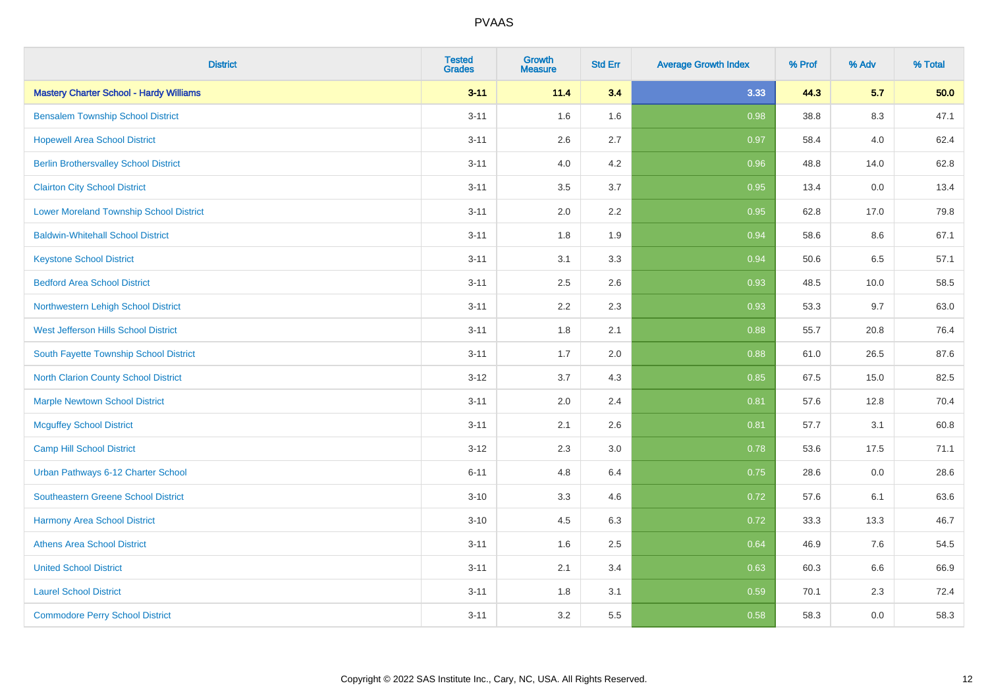| <b>District</b>                                | <b>Tested</b><br><b>Grades</b> | Growth<br><b>Measure</b> | <b>Std Err</b> | <b>Average Growth Index</b> | % Prof | % Adv | % Total |
|------------------------------------------------|--------------------------------|--------------------------|----------------|-----------------------------|--------|-------|---------|
| <b>Mastery Charter School - Hardy Williams</b> | $3 - 11$                       | 11.4                     | 3.4            | 3.33                        | 44.3   | 5.7   | 50.0    |
| <b>Bensalem Township School District</b>       | $3 - 11$                       | 1.6                      | 1.6            | 0.98                        | 38.8   | 8.3   | 47.1    |
| <b>Hopewell Area School District</b>           | $3 - 11$                       | 2.6                      | 2.7            | 0.97                        | 58.4   | 4.0   | 62.4    |
| <b>Berlin Brothersvalley School District</b>   | $3 - 11$                       | 4.0                      | 4.2            | 0.96                        | 48.8   | 14.0  | 62.8    |
| <b>Clairton City School District</b>           | $3 - 11$                       | 3.5                      | 3.7            | 0.95                        | 13.4   | 0.0   | 13.4    |
| <b>Lower Moreland Township School District</b> | $3 - 11$                       | 2.0                      | 2.2            | 0.95                        | 62.8   | 17.0  | 79.8    |
| <b>Baldwin-Whitehall School District</b>       | $3 - 11$                       | 1.8                      | 1.9            | 0.94                        | 58.6   | 8.6   | 67.1    |
| <b>Keystone School District</b>                | $3 - 11$                       | 3.1                      | 3.3            | 0.94                        | 50.6   | 6.5   | 57.1    |
| <b>Bedford Area School District</b>            | $3 - 11$                       | 2.5                      | 2.6            | 0.93                        | 48.5   | 10.0  | 58.5    |
| Northwestern Lehigh School District            | $3 - 11$                       | 2.2                      | 2.3            | 0.93                        | 53.3   | 9.7   | 63.0    |
| West Jefferson Hills School District           | $3 - 11$                       | 1.8                      | 2.1            | 0.88                        | 55.7   | 20.8  | 76.4    |
| South Fayette Township School District         | $3 - 11$                       | 1.7                      | 2.0            | 0.88                        | 61.0   | 26.5  | 87.6    |
| North Clarion County School District           | $3 - 12$                       | 3.7                      | 4.3            | 0.85                        | 67.5   | 15.0  | 82.5    |
| <b>Marple Newtown School District</b>          | $3 - 11$                       | 2.0                      | 2.4            | 0.81                        | 57.6   | 12.8  | 70.4    |
| <b>Mcguffey School District</b>                | $3 - 11$                       | 2.1                      | 2.6            | 0.81                        | 57.7   | 3.1   | 60.8    |
| Camp Hill School District                      | $3 - 12$                       | 2.3                      | 3.0            | 0.78                        | 53.6   | 17.5  | 71.1    |
| Urban Pathways 6-12 Charter School             | $6 - 11$                       | 4.8                      | 6.4            | 0.75                        | 28.6   | 0.0   | 28.6    |
| Southeastern Greene School District            | $3 - 10$                       | 3.3                      | 4.6            | 0.72                        | 57.6   | 6.1   | 63.6    |
| <b>Harmony Area School District</b>            | $3 - 10$                       | 4.5                      | 6.3            | 0.72                        | 33.3   | 13.3  | 46.7    |
| <b>Athens Area School District</b>             | $3 - 11$                       | 1.6                      | 2.5            | 0.64                        | 46.9   | 7.6   | 54.5    |
| <b>United School District</b>                  | $3 - 11$                       | 2.1                      | 3.4            | 0.63                        | 60.3   | 6.6   | 66.9    |
| <b>Laurel School District</b>                  | $3 - 11$                       | 1.8                      | 3.1            | 0.59                        | 70.1   | 2.3   | 72.4    |
| <b>Commodore Perry School District</b>         | $3 - 11$                       | 3.2                      | 5.5            | 0.58                        | 58.3   | 0.0   | 58.3    |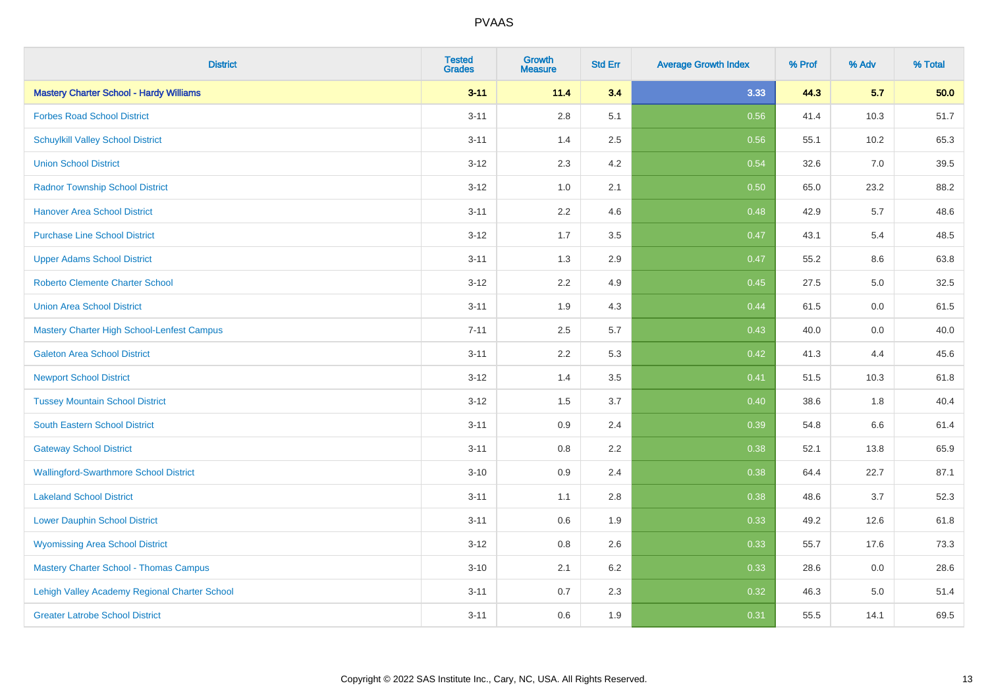| <b>District</b>                                | <b>Tested</b><br><b>Grades</b> | <b>Growth</b><br><b>Measure</b> | <b>Std Err</b> | <b>Average Growth Index</b> | % Prof | % Adv | % Total |
|------------------------------------------------|--------------------------------|---------------------------------|----------------|-----------------------------|--------|-------|---------|
| <b>Mastery Charter School - Hardy Williams</b> | $3 - 11$                       | 11.4                            | 3.4            | 3.33                        | 44.3   | 5.7   | 50.0    |
| <b>Forbes Road School District</b>             | $3 - 11$                       | $2.8\,$                         | 5.1            | 0.56                        | 41.4   | 10.3  | 51.7    |
| <b>Schuylkill Valley School District</b>       | $3 - 11$                       | 1.4                             | 2.5            | 0.56                        | 55.1   | 10.2  | 65.3    |
| <b>Union School District</b>                   | $3 - 12$                       | 2.3                             | 4.2            | 0.54                        | 32.6   | 7.0   | 39.5    |
| <b>Radnor Township School District</b>         | $3 - 12$                       | 1.0                             | 2.1            | 0.50                        | 65.0   | 23.2  | 88.2    |
| <b>Hanover Area School District</b>            | $3 - 11$                       | 2.2                             | 4.6            | 0.48                        | 42.9   | 5.7   | 48.6    |
| <b>Purchase Line School District</b>           | $3 - 12$                       | 1.7                             | 3.5            | 0.47                        | 43.1   | 5.4   | 48.5    |
| <b>Upper Adams School District</b>             | $3 - 11$                       | 1.3                             | 2.9            | 0.47                        | 55.2   | 8.6   | 63.8    |
| <b>Roberto Clemente Charter School</b>         | $3 - 12$                       | 2.2                             | 4.9            | 0.45                        | 27.5   | 5.0   | 32.5    |
| <b>Union Area School District</b>              | $3 - 11$                       | 1.9                             | 4.3            | 0.44                        | 61.5   | 0.0   | 61.5    |
| Mastery Charter High School-Lenfest Campus     | $7 - 11$                       | 2.5                             | 5.7            | 0.43                        | 40.0   | 0.0   | 40.0    |
| <b>Galeton Area School District</b>            | $3 - 11$                       | 2.2                             | 5.3            | 0.42                        | 41.3   | 4.4   | 45.6    |
| <b>Newport School District</b>                 | $3 - 12$                       | 1.4                             | 3.5            | 0.41                        | 51.5   | 10.3  | 61.8    |
| <b>Tussey Mountain School District</b>         | $3 - 12$                       | 1.5                             | 3.7            | 0.40                        | 38.6   | 1.8   | 40.4    |
| South Eastern School District                  | $3 - 11$                       | 0.9                             | 2.4            | 0.39                        | 54.8   | 6.6   | 61.4    |
| <b>Gateway School District</b>                 | $3 - 11$                       | 0.8                             | 2.2            | 0.38                        | 52.1   | 13.8  | 65.9    |
| <b>Wallingford-Swarthmore School District</b>  | $3 - 10$                       | 0.9                             | 2.4            | 0.38                        | 64.4   | 22.7  | 87.1    |
| <b>Lakeland School District</b>                | $3 - 11$                       | 1.1                             | 2.8            | 0.38                        | 48.6   | 3.7   | 52.3    |
| <b>Lower Dauphin School District</b>           | $3 - 11$                       | 0.6                             | 1.9            | 0.33                        | 49.2   | 12.6  | 61.8    |
| <b>Wyomissing Area School District</b>         | $3 - 12$                       | 0.8                             | 2.6            | 0.33                        | 55.7   | 17.6  | 73.3    |
| <b>Mastery Charter School - Thomas Campus</b>  | $3 - 10$                       | 2.1                             | $6.2\,$        | 0.33                        | 28.6   | 0.0   | 28.6    |
| Lehigh Valley Academy Regional Charter School  | $3 - 11$                       | 0.7                             | 2.3            | 0.32                        | 46.3   | 5.0   | 51.4    |
| <b>Greater Latrobe School District</b>         | $3 - 11$                       | 0.6                             | 1.9            | 0.31                        | 55.5   | 14.1  | 69.5    |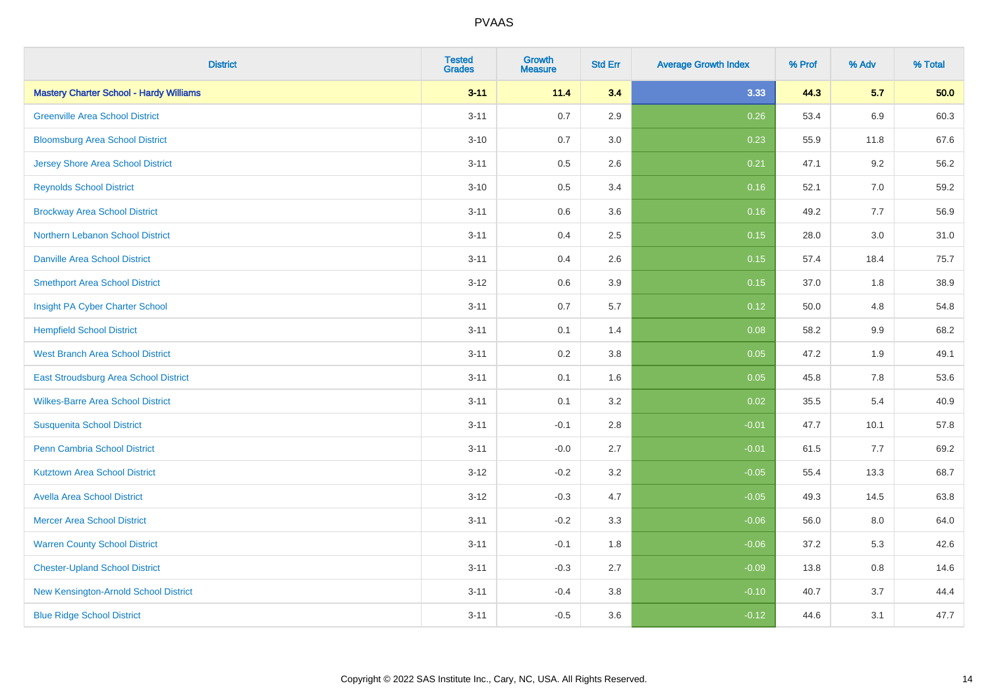| <b>District</b>                                | <b>Tested</b><br><b>Grades</b> | Growth<br><b>Measure</b> | <b>Std Err</b> | <b>Average Growth Index</b> | % Prof | % Adv   | % Total |
|------------------------------------------------|--------------------------------|--------------------------|----------------|-----------------------------|--------|---------|---------|
| <b>Mastery Charter School - Hardy Williams</b> | $3 - 11$                       | 11.4                     | 3.4            | 3.33                        | 44.3   | 5.7     | 50.0    |
| <b>Greenville Area School District</b>         | $3 - 11$                       | 0.7                      | 2.9            | 0.26                        | 53.4   | 6.9     | 60.3    |
| <b>Bloomsburg Area School District</b>         | $3 - 10$                       | 0.7                      | 3.0            | 0.23                        | 55.9   | 11.8    | 67.6    |
| <b>Jersey Shore Area School District</b>       | $3 - 11$                       | 0.5                      | 2.6            | 0.21                        | 47.1   | 9.2     | 56.2    |
| <b>Reynolds School District</b>                | $3 - 10$                       | 0.5                      | 3.4            | 0.16                        | 52.1   | 7.0     | 59.2    |
| <b>Brockway Area School District</b>           | $3 - 11$                       | 0.6                      | 3.6            | 0.16                        | 49.2   | 7.7     | 56.9    |
| Northern Lebanon School District               | $3 - 11$                       | 0.4                      | 2.5            | 0.15                        | 28.0   | 3.0     | 31.0    |
| <b>Danville Area School District</b>           | $3 - 11$                       | 0.4                      | 2.6            | 0.15                        | 57.4   | 18.4    | 75.7    |
| <b>Smethport Area School District</b>          | $3 - 12$                       | 0.6                      | 3.9            | 0.15                        | 37.0   | 1.8     | 38.9    |
| Insight PA Cyber Charter School                | $3 - 11$                       | 0.7                      | 5.7            | 0.12                        | 50.0   | 4.8     | 54.8    |
| <b>Hempfield School District</b>               | $3 - 11$                       | 0.1                      | 1.4            | 0.08                        | 58.2   | 9.9     | 68.2    |
| <b>West Branch Area School District</b>        | $3 - 11$                       | 0.2                      | 3.8            | 0.05                        | 47.2   | 1.9     | 49.1    |
| East Stroudsburg Area School District          | $3 - 11$                       | 0.1                      | 1.6            | 0.05                        | 45.8   | $7.8\,$ | 53.6    |
| <b>Wilkes-Barre Area School District</b>       | $3 - 11$                       | 0.1                      | 3.2            | 0.02                        | 35.5   | 5.4     | 40.9    |
| <b>Susquenita School District</b>              | $3 - 11$                       | $-0.1$                   | 2.8            | $-0.01$                     | 47.7   | 10.1    | 57.8    |
| <b>Penn Cambria School District</b>            | $3 - 11$                       | $-0.0$                   | 2.7            | $-0.01$                     | 61.5   | 7.7     | 69.2    |
| <b>Kutztown Area School District</b>           | $3 - 12$                       | $-0.2$                   | 3.2            | $-0.05$                     | 55.4   | 13.3    | 68.7    |
| <b>Avella Area School District</b>             | $3 - 12$                       | $-0.3$                   | 4.7            | $-0.05$                     | 49.3   | 14.5    | 63.8    |
| <b>Mercer Area School District</b>             | $3 - 11$                       | $-0.2$                   | 3.3            | $-0.06$                     | 56.0   | 8.0     | 64.0    |
| <b>Warren County School District</b>           | $3 - 11$                       | $-0.1$                   | 1.8            | $-0.06$                     | 37.2   | 5.3     | 42.6    |
| <b>Chester-Upland School District</b>          | $3 - 11$                       | $-0.3$                   | 2.7            | $-0.09$                     | 13.8   | 0.8     | 14.6    |
| New Kensington-Arnold School District          | $3 - 11$                       | $-0.4$                   | 3.8            | $-0.10$                     | 40.7   | 3.7     | 44.4    |
| <b>Blue Ridge School District</b>              | $3 - 11$                       | $-0.5$                   | 3.6            | $-0.12$                     | 44.6   | 3.1     | 47.7    |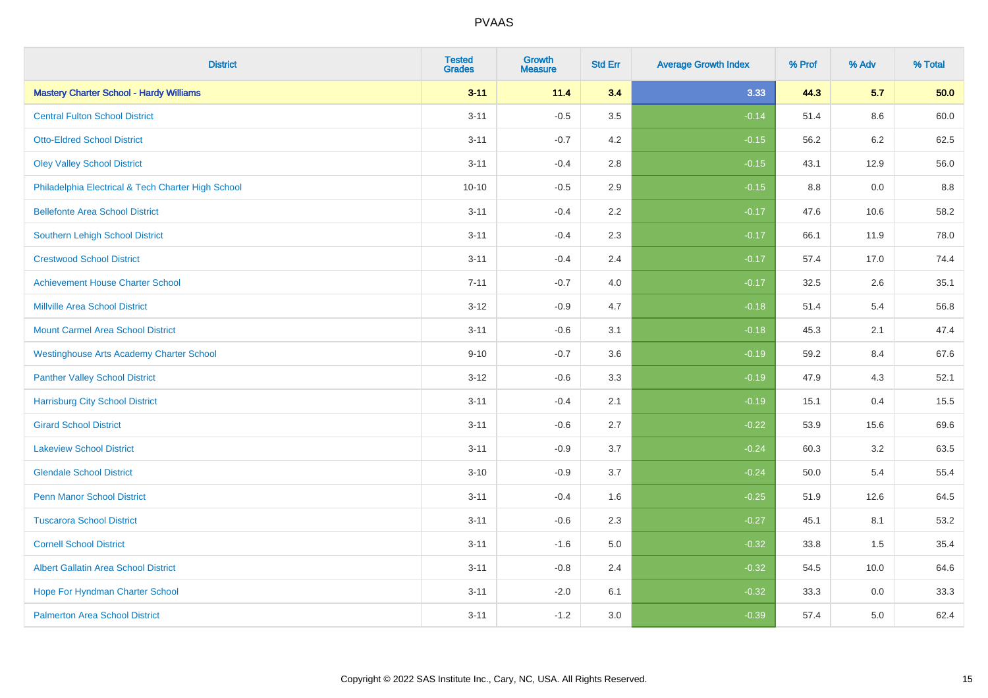| <b>District</b>                                    | <b>Tested</b><br><b>Grades</b> | <b>Growth</b><br><b>Measure</b> | <b>Std Err</b> | <b>Average Growth Index</b> | % Prof | % Adv | % Total |
|----------------------------------------------------|--------------------------------|---------------------------------|----------------|-----------------------------|--------|-------|---------|
| <b>Mastery Charter School - Hardy Williams</b>     | $3 - 11$                       | 11.4                            | 3.4            | 3.33                        | 44.3   | 5.7   | 50.0    |
| <b>Central Fulton School District</b>              | $3 - 11$                       | $-0.5$                          | 3.5            | $-0.14$                     | 51.4   | 8.6   | 60.0    |
| <b>Otto-Eldred School District</b>                 | $3 - 11$                       | $-0.7$                          | 4.2            | $-0.15$                     | 56.2   | 6.2   | 62.5    |
| <b>Oley Valley School District</b>                 | $3 - 11$                       | $-0.4$                          | 2.8            | $-0.15$                     | 43.1   | 12.9  | 56.0    |
| Philadelphia Electrical & Tech Charter High School | $10 - 10$                      | $-0.5$                          | 2.9            | $-0.15$                     | 8.8    | 0.0   | 8.8     |
| <b>Bellefonte Area School District</b>             | $3 - 11$                       | $-0.4$                          | 2.2            | $-0.17$                     | 47.6   | 10.6  | 58.2    |
| <b>Southern Lehigh School District</b>             | $3 - 11$                       | $-0.4$                          | 2.3            | $-0.17$                     | 66.1   | 11.9  | 78.0    |
| <b>Crestwood School District</b>                   | $3 - 11$                       | $-0.4$                          | 2.4            | $-0.17$                     | 57.4   | 17.0  | 74.4    |
| <b>Achievement House Charter School</b>            | $7 - 11$                       | $-0.7$                          | 4.0            | $-0.17$                     | 32.5   | 2.6   | 35.1    |
| <b>Millville Area School District</b>              | $3 - 12$                       | $-0.9$                          | 4.7            | $-0.18$                     | 51.4   | 5.4   | 56.8    |
| <b>Mount Carmel Area School District</b>           | $3 - 11$                       | $-0.6$                          | 3.1            | $-0.18$                     | 45.3   | 2.1   | 47.4    |
| <b>Westinghouse Arts Academy Charter School</b>    | $9 - 10$                       | $-0.7$                          | 3.6            | $-0.19$                     | 59.2   | 8.4   | 67.6    |
| <b>Panther Valley School District</b>              | $3 - 12$                       | $-0.6$                          | 3.3            | $-0.19$                     | 47.9   | 4.3   | 52.1    |
| <b>Harrisburg City School District</b>             | $3 - 11$                       | $-0.4$                          | 2.1            | $-0.19$                     | 15.1   | 0.4   | 15.5    |
| <b>Girard School District</b>                      | $3 - 11$                       | $-0.6$                          | 2.7            | $-0.22$                     | 53.9   | 15.6  | 69.6    |
| <b>Lakeview School District</b>                    | $3 - 11$                       | $-0.9$                          | 3.7            | $-0.24$                     | 60.3   | 3.2   | 63.5    |
| <b>Glendale School District</b>                    | $3 - 10$                       | $-0.9$                          | 3.7            | $-0.24$                     | 50.0   | 5.4   | 55.4    |
| <b>Penn Manor School District</b>                  | $3 - 11$                       | $-0.4$                          | 1.6            | $-0.25$                     | 51.9   | 12.6  | 64.5    |
| <b>Tuscarora School District</b>                   | $3 - 11$                       | $-0.6$                          | 2.3            | $-0.27$                     | 45.1   | 8.1   | 53.2    |
| <b>Cornell School District</b>                     | $3 - 11$                       | $-1.6$                          | 5.0            | $-0.32$                     | 33.8   | 1.5   | 35.4    |
| <b>Albert Gallatin Area School District</b>        | $3 - 11$                       | $-0.8$                          | 2.4            | $-0.32$                     | 54.5   | 10.0  | 64.6    |
| Hope For Hyndman Charter School                    | $3 - 11$                       | $-2.0$                          | 6.1            | $-0.32$                     | 33.3   | 0.0   | 33.3    |
| <b>Palmerton Area School District</b>              | $3 - 11$                       | $-1.2$                          | 3.0            | $-0.39$                     | 57.4   | 5.0   | 62.4    |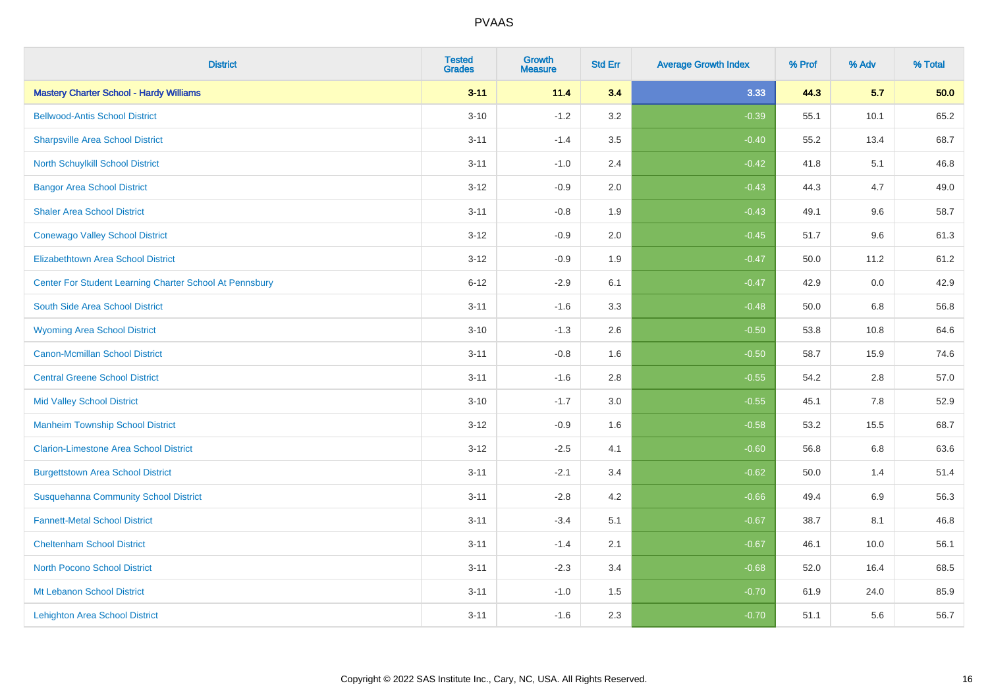| <b>District</b>                                         | <b>Tested</b><br><b>Grades</b> | <b>Growth</b><br><b>Measure</b> | <b>Std Err</b> | <b>Average Growth Index</b> | % Prof | % Adv   | % Total |
|---------------------------------------------------------|--------------------------------|---------------------------------|----------------|-----------------------------|--------|---------|---------|
| <b>Mastery Charter School - Hardy Williams</b>          | $3 - 11$                       | 11.4                            | 3.4            | 3.33                        | 44.3   | 5.7     | 50.0    |
| <b>Bellwood-Antis School District</b>                   | $3 - 10$                       | $-1.2$                          | 3.2            | $-0.39$                     | 55.1   | 10.1    | 65.2    |
| <b>Sharpsville Area School District</b>                 | $3 - 11$                       | $-1.4$                          | 3.5            | $-0.40$                     | 55.2   | 13.4    | 68.7    |
| North Schuylkill School District                        | $3 - 11$                       | $-1.0$                          | 2.4            | $-0.42$                     | 41.8   | 5.1     | 46.8    |
| <b>Bangor Area School District</b>                      | $3 - 12$                       | $-0.9$                          | 2.0            | $-0.43$                     | 44.3   | 4.7     | 49.0    |
| <b>Shaler Area School District</b>                      | $3 - 11$                       | $-0.8$                          | 1.9            | $-0.43$                     | 49.1   | 9.6     | 58.7    |
| <b>Conewago Valley School District</b>                  | $3 - 12$                       | $-0.9$                          | 2.0            | $-0.45$                     | 51.7   | 9.6     | 61.3    |
| <b>Elizabethtown Area School District</b>               | $3 - 12$                       | $-0.9$                          | 1.9            | $-0.47$                     | 50.0   | 11.2    | 61.2    |
| Center For Student Learning Charter School At Pennsbury | $6 - 12$                       | $-2.9$                          | 6.1            | $-0.47$                     | 42.9   | 0.0     | 42.9    |
| South Side Area School District                         | $3 - 11$                       | $-1.6$                          | 3.3            | $-0.48$                     | 50.0   | 6.8     | 56.8    |
| <b>Wyoming Area School District</b>                     | $3 - 10$                       | $-1.3$                          | 2.6            | $-0.50$                     | 53.8   | 10.8    | 64.6    |
| <b>Canon-Mcmillan School District</b>                   | $3 - 11$                       | $-0.8$                          | 1.6            | $-0.50$                     | 58.7   | 15.9    | 74.6    |
| <b>Central Greene School District</b>                   | $3 - 11$                       | $-1.6$                          | 2.8            | $-0.55$                     | 54.2   | $2.8\,$ | 57.0    |
| <b>Mid Valley School District</b>                       | $3 - 10$                       | $-1.7$                          | 3.0            | $-0.55$                     | 45.1   | 7.8     | 52.9    |
| <b>Manheim Township School District</b>                 | $3 - 12$                       | $-0.9$                          | 1.6            | $-0.58$                     | 53.2   | 15.5    | 68.7    |
| <b>Clarion-Limestone Area School District</b>           | $3 - 12$                       | $-2.5$                          | 4.1            | $-0.60$                     | 56.8   | $6.8\,$ | 63.6    |
| <b>Burgettstown Area School District</b>                | $3 - 11$                       | $-2.1$                          | 3.4            | $-0.62$                     | 50.0   | 1.4     | 51.4    |
| <b>Susquehanna Community School District</b>            | $3 - 11$                       | $-2.8$                          | 4.2            | $-0.66$                     | 49.4   | 6.9     | 56.3    |
| <b>Fannett-Metal School District</b>                    | $3 - 11$                       | $-3.4$                          | 5.1            | $-0.67$                     | 38.7   | 8.1     | 46.8    |
| <b>Cheltenham School District</b>                       | $3 - 11$                       | $-1.4$                          | 2.1            | $-0.67$                     | 46.1   | 10.0    | 56.1    |
| <b>North Pocono School District</b>                     | $3 - 11$                       | $-2.3$                          | 3.4            | $-0.68$                     | 52.0   | 16.4    | 68.5    |
| Mt Lebanon School District                              | $3 - 11$                       | $-1.0$                          | 1.5            | $-0.70$                     | 61.9   | 24.0    | 85.9    |
| <b>Lehighton Area School District</b>                   | $3 - 11$                       | $-1.6$                          | 2.3            | $-0.70$                     | 51.1   | 5.6     | 56.7    |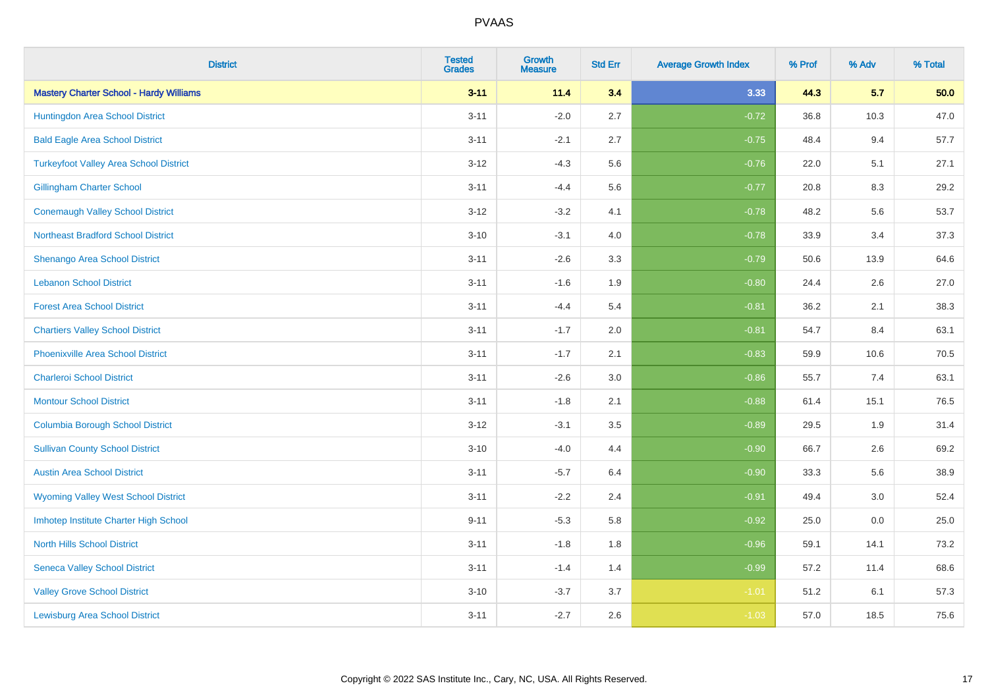| <b>District</b>                                | <b>Tested</b><br><b>Grades</b> | <b>Growth</b><br><b>Measure</b> | <b>Std Err</b> | <b>Average Growth Index</b> | % Prof | % Adv | % Total |
|------------------------------------------------|--------------------------------|---------------------------------|----------------|-----------------------------|--------|-------|---------|
| <b>Mastery Charter School - Hardy Williams</b> | $3 - 11$                       | 11.4                            | 3.4            | 3.33                        | 44.3   | 5.7   | 50.0    |
| Huntingdon Area School District                | $3 - 11$                       | $-2.0$                          | 2.7            | $-0.72$                     | 36.8   | 10.3  | 47.0    |
| <b>Bald Eagle Area School District</b>         | $3 - 11$                       | $-2.1$                          | 2.7            | $-0.75$                     | 48.4   | 9.4   | 57.7    |
| <b>Turkeyfoot Valley Area School District</b>  | $3 - 12$                       | $-4.3$                          | 5.6            | $-0.76$                     | 22.0   | 5.1   | 27.1    |
| <b>Gillingham Charter School</b>               | $3 - 11$                       | $-4.4$                          | 5.6            | $-0.77$                     | 20.8   | 8.3   | 29.2    |
| <b>Conemaugh Valley School District</b>        | $3 - 12$                       | $-3.2$                          | 4.1            | $-0.78$                     | 48.2   | 5.6   | 53.7    |
| <b>Northeast Bradford School District</b>      | $3 - 10$                       | $-3.1$                          | 4.0            | $-0.78$                     | 33.9   | 3.4   | 37.3    |
| <b>Shenango Area School District</b>           | $3 - 11$                       | $-2.6$                          | 3.3            | $-0.79$                     | 50.6   | 13.9  | 64.6    |
| <b>Lebanon School District</b>                 | $3 - 11$                       | $-1.6$                          | 1.9            | $-0.80$                     | 24.4   | 2.6   | 27.0    |
| <b>Forest Area School District</b>             | $3 - 11$                       | $-4.4$                          | 5.4            | $-0.81$                     | 36.2   | 2.1   | 38.3    |
| <b>Chartiers Valley School District</b>        | $3 - 11$                       | $-1.7$                          | 2.0            | $-0.81$                     | 54.7   | 8.4   | 63.1    |
| <b>Phoenixville Area School District</b>       | $3 - 11$                       | $-1.7$                          | 2.1            | $-0.83$                     | 59.9   | 10.6  | 70.5    |
| <b>Charleroi School District</b>               | $3 - 11$                       | $-2.6$                          | 3.0            | $-0.86$                     | 55.7   | 7.4   | 63.1    |
| <b>Montour School District</b>                 | $3 - 11$                       | $-1.8$                          | 2.1            | $-0.88$                     | 61.4   | 15.1  | 76.5    |
| <b>Columbia Borough School District</b>        | $3 - 12$                       | $-3.1$                          | 3.5            | $-0.89$                     | 29.5   | 1.9   | 31.4    |
| <b>Sullivan County School District</b>         | $3 - 10$                       | $-4.0$                          | 4.4            | $-0.90$                     | 66.7   | 2.6   | 69.2    |
| <b>Austin Area School District</b>             | $3 - 11$                       | $-5.7$                          | 6.4            | $-0.90$                     | 33.3   | 5.6   | 38.9    |
| <b>Wyoming Valley West School District</b>     | $3 - 11$                       | $-2.2$                          | 2.4            | $-0.91$                     | 49.4   | 3.0   | 52.4    |
| Imhotep Institute Charter High School          | $9 - 11$                       | $-5.3$                          | 5.8            | $-0.92$                     | 25.0   | 0.0   | 25.0    |
| <b>North Hills School District</b>             | $3 - 11$                       | $-1.8$                          | 1.8            | $-0.96$                     | 59.1   | 14.1  | 73.2    |
| <b>Seneca Valley School District</b>           | $3 - 11$                       | $-1.4$                          | 1.4            | $-0.99$                     | 57.2   | 11.4  | 68.6    |
| <b>Valley Grove School District</b>            | $3 - 10$                       | $-3.7$                          | 3.7            | $-1.01$                     | 51.2   | 6.1   | 57.3    |
| <b>Lewisburg Area School District</b>          | $3 - 11$                       | $-2.7$                          | 2.6            | $-1.03$                     | 57.0   | 18.5  | 75.6    |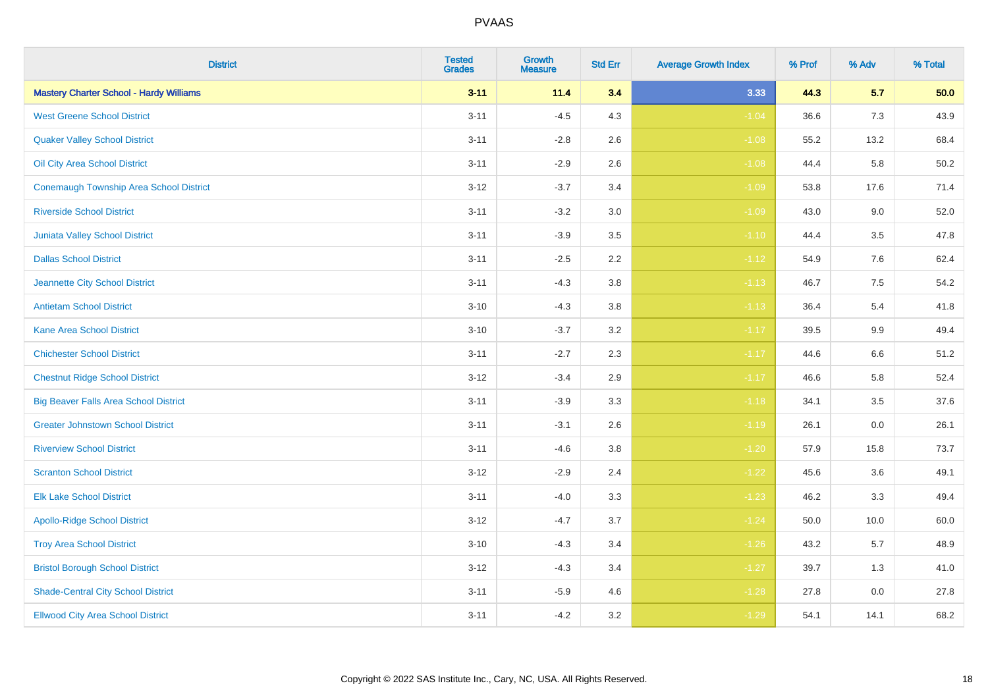| <b>District</b>                                | <b>Tested</b><br><b>Grades</b> | <b>Growth</b><br><b>Measure</b> | <b>Std Err</b> | <b>Average Growth Index</b> | % Prof | % Adv | % Total |
|------------------------------------------------|--------------------------------|---------------------------------|----------------|-----------------------------|--------|-------|---------|
| <b>Mastery Charter School - Hardy Williams</b> | $3 - 11$                       | 11.4                            | 3.4            | 3.33                        | 44.3   | 5.7   | 50.0    |
| <b>West Greene School District</b>             | $3 - 11$                       | $-4.5$                          | 4.3            | $-1.04$                     | 36.6   | 7.3   | 43.9    |
| <b>Quaker Valley School District</b>           | $3 - 11$                       | $-2.8$                          | 2.6            | $-1.08$                     | 55.2   | 13.2  | 68.4    |
| Oil City Area School District                  | $3 - 11$                       | $-2.9$                          | 2.6            | $-1.08$                     | 44.4   | 5.8   | 50.2    |
| <b>Conemaugh Township Area School District</b> | $3 - 12$                       | $-3.7$                          | 3.4            | $-1.09$                     | 53.8   | 17.6  | 71.4    |
| <b>Riverside School District</b>               | $3 - 11$                       | $-3.2$                          | 3.0            | $-1.09$                     | 43.0   | 9.0   | 52.0    |
| <b>Juniata Valley School District</b>          | $3 - 11$                       | $-3.9$                          | 3.5            | $-1.10$                     | 44.4   | 3.5   | 47.8    |
| <b>Dallas School District</b>                  | $3 - 11$                       | $-2.5$                          | 2.2            | $-1.12$                     | 54.9   | 7.6   | 62.4    |
| Jeannette City School District                 | $3 - 11$                       | $-4.3$                          | 3.8            | $-1.13$                     | 46.7   | 7.5   | 54.2    |
| <b>Antietam School District</b>                | $3 - 10$                       | $-4.3$                          | 3.8            | $-1.13$                     | 36.4   | 5.4   | 41.8    |
| <b>Kane Area School District</b>               | $3 - 10$                       | $-3.7$                          | 3.2            | $-1.17$                     | 39.5   | 9.9   | 49.4    |
| <b>Chichester School District</b>              | $3 - 11$                       | $-2.7$                          | 2.3            | $-1.17$                     | 44.6   | 6.6   | 51.2    |
| <b>Chestnut Ridge School District</b>          | $3 - 12$                       | $-3.4$                          | 2.9            | $-1.17$                     | 46.6   | 5.8   | 52.4    |
| <b>Big Beaver Falls Area School District</b>   | $3 - 11$                       | $-3.9$                          | 3.3            | $-1.18$                     | 34.1   | 3.5   | 37.6    |
| <b>Greater Johnstown School District</b>       | $3 - 11$                       | $-3.1$                          | 2.6            | $-1.19$                     | 26.1   | 0.0   | 26.1    |
| <b>Riverview School District</b>               | $3 - 11$                       | $-4.6$                          | 3.8            | $-1.20$                     | 57.9   | 15.8  | 73.7    |
| <b>Scranton School District</b>                | $3 - 12$                       | $-2.9$                          | 2.4            | $-1.22$                     | 45.6   | 3.6   | 49.1    |
| <b>Elk Lake School District</b>                | $3 - 11$                       | $-4.0$                          | 3.3            | $-1.23$                     | 46.2   | 3.3   | 49.4    |
| <b>Apollo-Ridge School District</b>            | $3 - 12$                       | $-4.7$                          | 3.7            | $-1.24$                     | 50.0   | 10.0  | 60.0    |
| <b>Troy Area School District</b>               | $3 - 10$                       | $-4.3$                          | 3.4            | $-1.26$                     | 43.2   | 5.7   | 48.9    |
| <b>Bristol Borough School District</b>         | $3 - 12$                       | $-4.3$                          | 3.4            | $-1.27$                     | 39.7   | 1.3   | 41.0    |
| <b>Shade-Central City School District</b>      | $3 - 11$                       | $-5.9$                          | 4.6            | $-1.28$                     | 27.8   | 0.0   | 27.8    |
| <b>Ellwood City Area School District</b>       | $3 - 11$                       | $-4.2$                          | 3.2            | $-1.29$                     | 54.1   | 14.1  | 68.2    |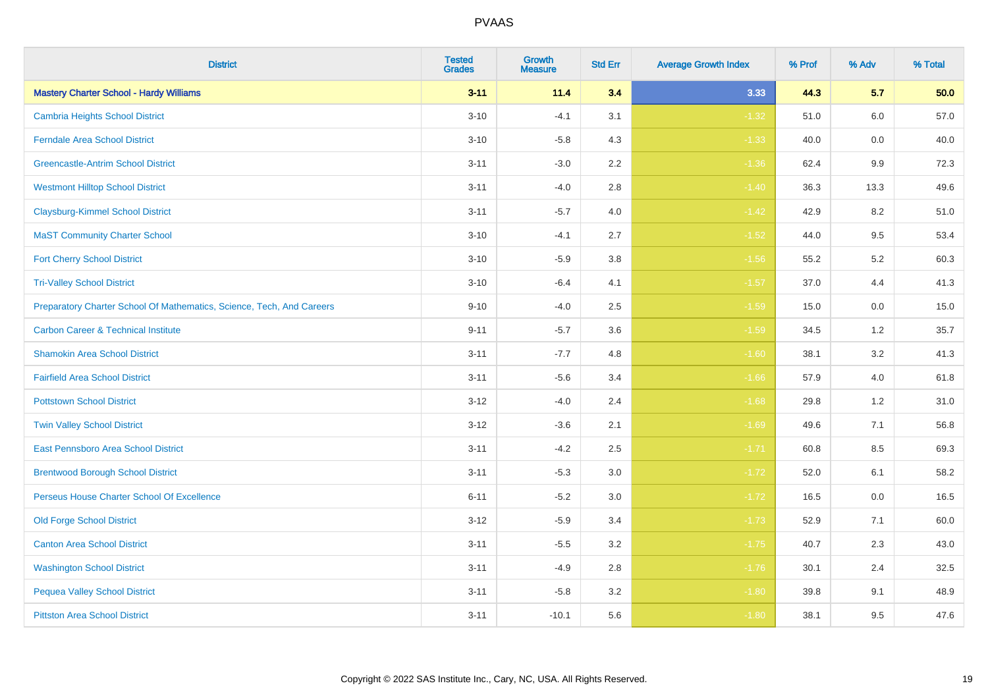| <b>District</b>                                                       | <b>Tested</b><br><b>Grades</b> | <b>Growth</b><br><b>Measure</b> | <b>Std Err</b> | <b>Average Growth Index</b> | % Prof | % Adv | % Total |
|-----------------------------------------------------------------------|--------------------------------|---------------------------------|----------------|-----------------------------|--------|-------|---------|
| <b>Mastery Charter School - Hardy Williams</b>                        | $3 - 11$                       | 11.4                            | 3.4            | 3.33                        | 44.3   | 5.7   | 50.0    |
| <b>Cambria Heights School District</b>                                | $3 - 10$                       | $-4.1$                          | 3.1            | $-1.32$                     | 51.0   | 6.0   | 57.0    |
| <b>Ferndale Area School District</b>                                  | $3 - 10$                       | $-5.8$                          | 4.3            | $-1.33$                     | 40.0   | 0.0   | 40.0    |
| <b>Greencastle-Antrim School District</b>                             | $3 - 11$                       | $-3.0$                          | 2.2            | $-1.36$                     | 62.4   | 9.9   | 72.3    |
| <b>Westmont Hilltop School District</b>                               | $3 - 11$                       | $-4.0$                          | 2.8            | $-1.40$                     | 36.3   | 13.3  | 49.6    |
| <b>Claysburg-Kimmel School District</b>                               | $3 - 11$                       | $-5.7$                          | 4.0            | $-1.42$                     | 42.9   | 8.2   | 51.0    |
| <b>MaST Community Charter School</b>                                  | $3 - 10$                       | $-4.1$                          | 2.7            | $-1.52$                     | 44.0   | 9.5   | 53.4    |
| <b>Fort Cherry School District</b>                                    | $3 - 10$                       | $-5.9$                          | 3.8            | $-1.56$                     | 55.2   | 5.2   | 60.3    |
| <b>Tri-Valley School District</b>                                     | $3 - 10$                       | $-6.4$                          | 4.1            | $-1.57$                     | 37.0   | 4.4   | 41.3    |
| Preparatory Charter School Of Mathematics, Science, Tech, And Careers | $9 - 10$                       | $-4.0$                          | 2.5            | $-1.59$                     | 15.0   | 0.0   | 15.0    |
| <b>Carbon Career &amp; Technical Institute</b>                        | $9 - 11$                       | $-5.7$                          | 3.6            | $-1.59$                     | 34.5   | $1.2$ | 35.7    |
| <b>Shamokin Area School District</b>                                  | $3 - 11$                       | $-7.7$                          | 4.8            | $-1.60$                     | 38.1   | 3.2   | 41.3    |
| <b>Fairfield Area School District</b>                                 | $3 - 11$                       | $-5.6$                          | 3.4            | $-1.66$                     | 57.9   | 4.0   | 61.8    |
| <b>Pottstown School District</b>                                      | $3 - 12$                       | $-4.0$                          | 2.4            | $-1.68$                     | 29.8   | 1.2   | 31.0    |
| <b>Twin Valley School District</b>                                    | $3 - 12$                       | $-3.6$                          | 2.1            | $-1.69$                     | 49.6   | 7.1   | 56.8    |
| <b>East Pennsboro Area School District</b>                            | $3 - 11$                       | $-4.2$                          | 2.5            | $-1.71$                     | 60.8   | 8.5   | 69.3    |
| <b>Brentwood Borough School District</b>                              | $3 - 11$                       | $-5.3$                          | 3.0            | $-1.72$                     | 52.0   | 6.1   | 58.2    |
| Perseus House Charter School Of Excellence                            | $6 - 11$                       | $-5.2$                          | 3.0            | $-1.72$                     | 16.5   | 0.0   | 16.5    |
| <b>Old Forge School District</b>                                      | $3 - 12$                       | $-5.9$                          | 3.4            | $-1.73$                     | 52.9   | 7.1   | 60.0    |
| <b>Canton Area School District</b>                                    | $3 - 11$                       | $-5.5$                          | 3.2            | $-1.75$                     | 40.7   | 2.3   | 43.0    |
| <b>Washington School District</b>                                     | $3 - 11$                       | $-4.9$                          | 2.8            | $-1.76$                     | 30.1   | 2.4   | 32.5    |
| <b>Pequea Valley School District</b>                                  | $3 - 11$                       | $-5.8$                          | 3.2            | $-1.80$                     | 39.8   | 9.1   | 48.9    |
| <b>Pittston Area School District</b>                                  | $3 - 11$                       | $-10.1$                         | 5.6            | $-1.80$                     | 38.1   | 9.5   | 47.6    |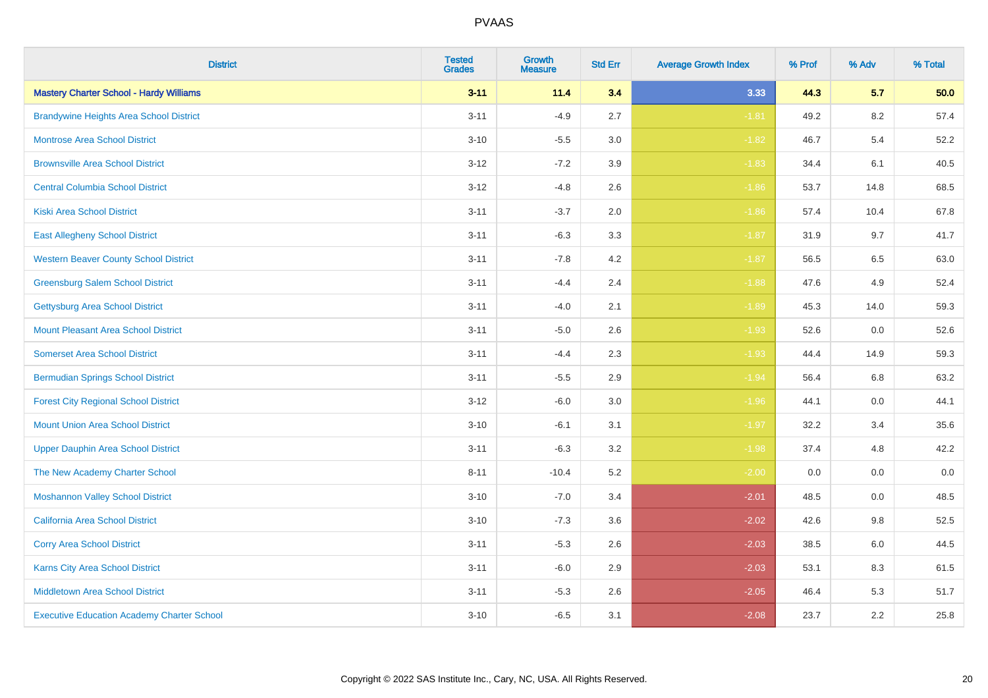| <b>District</b>                                   | <b>Tested</b><br><b>Grades</b> | <b>Growth</b><br><b>Measure</b> | <b>Std Err</b> | <b>Average Growth Index</b> | % Prof | % Adv   | % Total |
|---------------------------------------------------|--------------------------------|---------------------------------|----------------|-----------------------------|--------|---------|---------|
| <b>Mastery Charter School - Hardy Williams</b>    | $3 - 11$                       | 11.4                            | 3.4            | 3.33                        | 44.3   | 5.7     | 50.0    |
| <b>Brandywine Heights Area School District</b>    | $3 - 11$                       | $-4.9$                          | 2.7            | $-1.81$                     | 49.2   | $8.2\,$ | 57.4    |
| <b>Montrose Area School District</b>              | $3 - 10$                       | $-5.5$                          | 3.0            | $-1.82$                     | 46.7   | 5.4     | 52.2    |
| <b>Brownsville Area School District</b>           | $3 - 12$                       | $-7.2$                          | 3.9            | $-1.83$                     | 34.4   | 6.1     | 40.5    |
| <b>Central Columbia School District</b>           | $3 - 12$                       | $-4.8$                          | 2.6            | $-1.86$                     | 53.7   | 14.8    | 68.5    |
| <b>Kiski Area School District</b>                 | $3 - 11$                       | $-3.7$                          | 2.0            | $-1.86$                     | 57.4   | 10.4    | 67.8    |
| <b>East Allegheny School District</b>             | $3 - 11$                       | $-6.3$                          | 3.3            | $-1.87$                     | 31.9   | 9.7     | 41.7    |
| <b>Western Beaver County School District</b>      | $3 - 11$                       | $-7.8$                          | 4.2            | $-1.87$                     | 56.5   | 6.5     | 63.0    |
| <b>Greensburg Salem School District</b>           | $3 - 11$                       | $-4.4$                          | 2.4            | $-1.88$                     | 47.6   | 4.9     | 52.4    |
| <b>Gettysburg Area School District</b>            | $3 - 11$                       | $-4.0$                          | 2.1            | $-1.89$                     | 45.3   | 14.0    | 59.3    |
| Mount Pleasant Area School District               | $3 - 11$                       | $-5.0$                          | 2.6            | $-1.93$                     | 52.6   | 0.0     | 52.6    |
| <b>Somerset Area School District</b>              | $3 - 11$                       | $-4.4$                          | 2.3            | $-1.93$                     | 44.4   | 14.9    | 59.3    |
| <b>Bermudian Springs School District</b>          | $3 - 11$                       | $-5.5$                          | 2.9            | $-1.94$                     | 56.4   | 6.8     | 63.2    |
| <b>Forest City Regional School District</b>       | $3 - 12$                       | $-6.0$                          | 3.0            | $-1.96$                     | 44.1   | 0.0     | 44.1    |
| <b>Mount Union Area School District</b>           | $3 - 10$                       | $-6.1$                          | 3.1            | $-1.97$                     | 32.2   | 3.4     | 35.6    |
| <b>Upper Dauphin Area School District</b>         | $3 - 11$                       | $-6.3$                          | 3.2            | $-1.98$                     | 37.4   | 4.8     | 42.2    |
| The New Academy Charter School                    | $8 - 11$                       | $-10.4$                         | 5.2            | $-2.00$                     | 0.0    | 0.0     | $0.0\,$ |
| <b>Moshannon Valley School District</b>           | $3 - 10$                       | $-7.0$                          | 3.4            | $-2.01$                     | 48.5   | 0.0     | 48.5    |
| <b>California Area School District</b>            | $3 - 10$                       | $-7.3$                          | 3.6            | $-2.02$                     | 42.6   | 9.8     | 52.5    |
| <b>Corry Area School District</b>                 | $3 - 11$                       | $-5.3$                          | 2.6            | $-2.03$                     | 38.5   | 6.0     | 44.5    |
| Karns City Area School District                   | $3 - 11$                       | $-6.0$                          | 2.9            | $-2.03$                     | 53.1   | 8.3     | 61.5    |
| <b>Middletown Area School District</b>            | $3 - 11$                       | $-5.3$                          | 2.6            | $-2.05$                     | 46.4   | 5.3     | 51.7    |
| <b>Executive Education Academy Charter School</b> | $3 - 10$                       | $-6.5$                          | 3.1            | $-2.08$                     | 23.7   | 2.2     | 25.8    |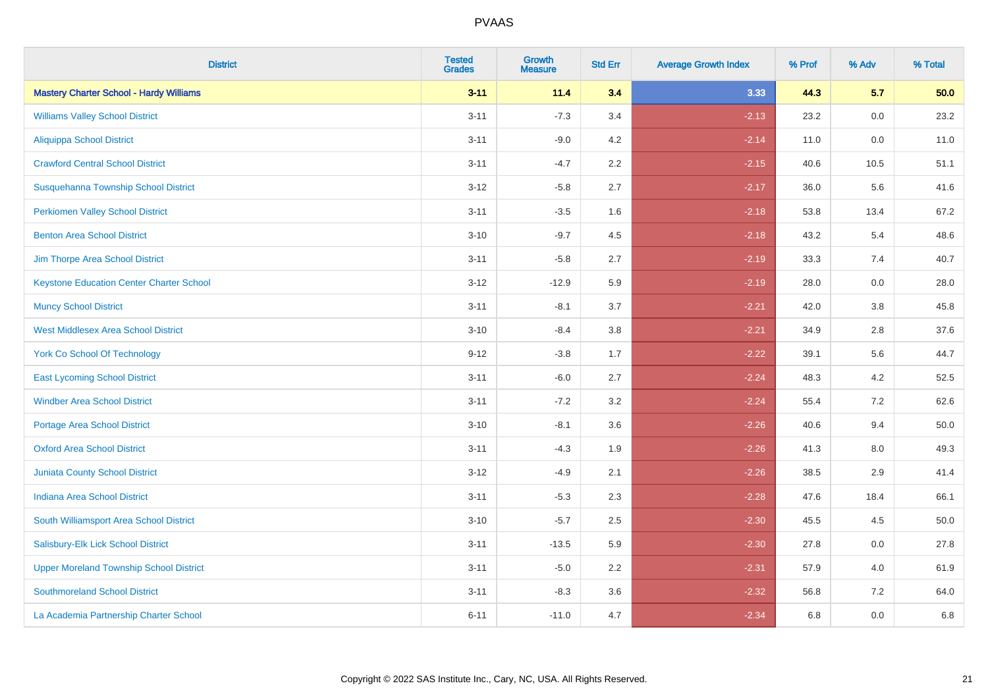| <b>District</b>                                 | <b>Tested</b><br><b>Grades</b> | <b>Growth</b><br><b>Measure</b> | <b>Std Err</b> | <b>Average Growth Index</b> | % Prof | % Adv   | % Total |
|-------------------------------------------------|--------------------------------|---------------------------------|----------------|-----------------------------|--------|---------|---------|
| <b>Mastery Charter School - Hardy Williams</b>  | $3 - 11$                       | 11.4                            | 3.4            | 3.33                        | 44.3   | 5.7     | 50.0    |
| <b>Williams Valley School District</b>          | $3 - 11$                       | $-7.3$                          | 3.4            | $-2.13$                     | 23.2   | 0.0     | 23.2    |
| <b>Aliquippa School District</b>                | $3 - 11$                       | $-9.0$                          | 4.2            | $-2.14$                     | 11.0   | $0.0\,$ | 11.0    |
| <b>Crawford Central School District</b>         | $3 - 11$                       | $-4.7$                          | 2.2            | $-2.15$                     | 40.6   | 10.5    | 51.1    |
| Susquehanna Township School District            | $3 - 12$                       | $-5.8$                          | 2.7            | $-2.17$                     | 36.0   | 5.6     | 41.6    |
| <b>Perkiomen Valley School District</b>         | $3 - 11$                       | $-3.5$                          | 1.6            | $-2.18$                     | 53.8   | 13.4    | 67.2    |
| <b>Benton Area School District</b>              | $3 - 10$                       | $-9.7$                          | 4.5            | $-2.18$                     | 43.2   | 5.4     | 48.6    |
| Jim Thorpe Area School District                 | $3 - 11$                       | $-5.8$                          | 2.7            | $-2.19$                     | 33.3   | 7.4     | 40.7    |
| <b>Keystone Education Center Charter School</b> | $3 - 12$                       | $-12.9$                         | 5.9            | $-2.19$                     | 28.0   | 0.0     | 28.0    |
| <b>Muncy School District</b>                    | $3 - 11$                       | $-8.1$                          | 3.7            | $-2.21$                     | 42.0   | 3.8     | 45.8    |
| <b>West Middlesex Area School District</b>      | $3 - 10$                       | $-8.4$                          | 3.8            | $-2.21$                     | 34.9   | 2.8     | 37.6    |
| <b>York Co School Of Technology</b>             | $9 - 12$                       | $-3.8$                          | 1.7            | $-2.22$                     | 39.1   | 5.6     | 44.7    |
| <b>East Lycoming School District</b>            | $3 - 11$                       | $-6.0$                          | 2.7            | $-2.24$                     | 48.3   | 4.2     | 52.5    |
| <b>Windber Area School District</b>             | $3 - 11$                       | $-7.2$                          | 3.2            | $-2.24$                     | 55.4   | 7.2     | 62.6    |
| <b>Portage Area School District</b>             | $3 - 10$                       | $-8.1$                          | 3.6            | $-2.26$                     | 40.6   | 9.4     | 50.0    |
| <b>Oxford Area School District</b>              | $3 - 11$                       | $-4.3$                          | 1.9            | $-2.26$                     | 41.3   | $8.0\,$ | 49.3    |
| <b>Juniata County School District</b>           | $3 - 12$                       | $-4.9$                          | 2.1            | $-2.26$                     | 38.5   | 2.9     | 41.4    |
| <b>Indiana Area School District</b>             | $3 - 11$                       | $-5.3$                          | 2.3            | $-2.28$                     | 47.6   | 18.4    | 66.1    |
| South Williamsport Area School District         | $3 - 10$                       | $-5.7$                          | 2.5            | $-2.30$                     | 45.5   | 4.5     | 50.0    |
| Salisbury-Elk Lick School District              | $3 - 11$                       | $-13.5$                         | 5.9            | $-2.30$                     | 27.8   | 0.0     | 27.8    |
| <b>Upper Moreland Township School District</b>  | $3 - 11$                       | $-5.0$                          | 2.2            | $-2.31$                     | 57.9   | 4.0     | 61.9    |
| <b>Southmoreland School District</b>            | $3 - 11$                       | $-8.3$                          | 3.6            | $-2.32$                     | 56.8   | 7.2     | 64.0    |
| La Academia Partnership Charter School          | $6 - 11$                       | $-11.0$                         | 4.7            | $-2.34$                     | 6.8    | 0.0     | 6.8     |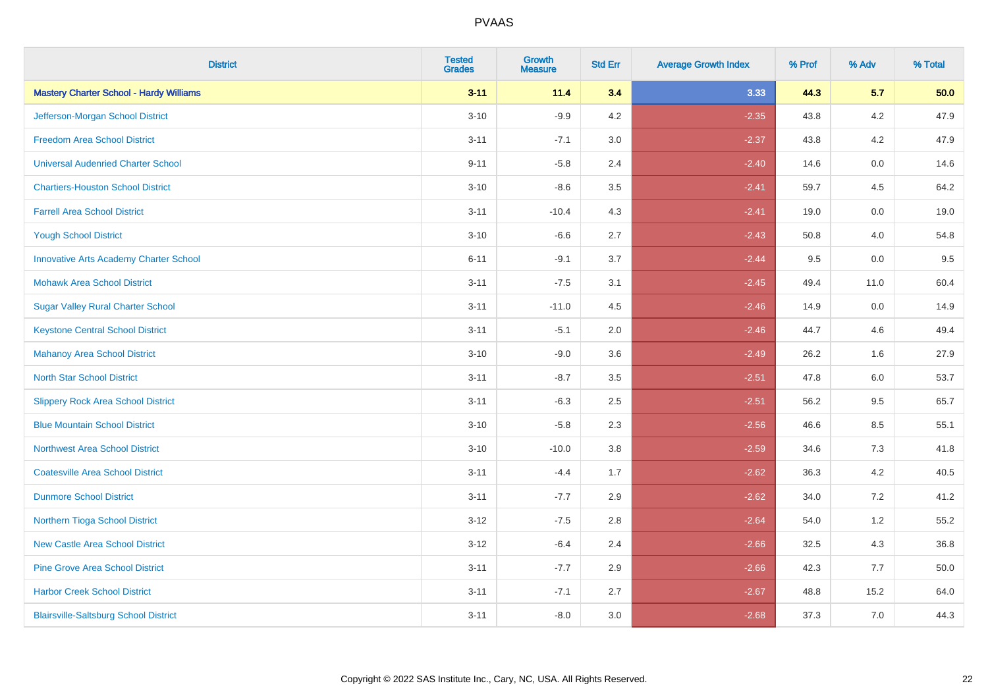| <b>District</b>                                | <b>Tested</b><br><b>Grades</b> | <b>Growth</b><br><b>Measure</b> | <b>Std Err</b> | <b>Average Growth Index</b> | % Prof | % Adv | % Total |
|------------------------------------------------|--------------------------------|---------------------------------|----------------|-----------------------------|--------|-------|---------|
| <b>Mastery Charter School - Hardy Williams</b> | $3 - 11$                       | 11.4                            | 3.4            | 3.33                        | 44.3   | 5.7   | 50.0    |
| Jefferson-Morgan School District               | $3 - 10$                       | $-9.9$                          | 4.2            | $-2.35$                     | 43.8   | 4.2   | 47.9    |
| <b>Freedom Area School District</b>            | $3 - 11$                       | $-7.1$                          | 3.0            | $-2.37$                     | 43.8   | 4.2   | 47.9    |
| <b>Universal Audenried Charter School</b>      | $9 - 11$                       | $-5.8$                          | 2.4            | $-2.40$                     | 14.6   | 0.0   | 14.6    |
| <b>Chartiers-Houston School District</b>       | $3 - 10$                       | $-8.6$                          | 3.5            | $-2.41$                     | 59.7   | 4.5   | 64.2    |
| <b>Farrell Area School District</b>            | $3 - 11$                       | $-10.4$                         | 4.3            | $-2.41$                     | 19.0   | 0.0   | 19.0    |
| <b>Yough School District</b>                   | $3 - 10$                       | $-6.6$                          | 2.7            | $-2.43$                     | 50.8   | 4.0   | 54.8    |
| <b>Innovative Arts Academy Charter School</b>  | $6 - 11$                       | $-9.1$                          | 3.7            | $-2.44$                     | 9.5    | 0.0   | 9.5     |
| <b>Mohawk Area School District</b>             | $3 - 11$                       | $-7.5$                          | 3.1            | $-2.45$                     | 49.4   | 11.0  | 60.4    |
| <b>Sugar Valley Rural Charter School</b>       | $3 - 11$                       | $-11.0$                         | 4.5            | $-2.46$                     | 14.9   | 0.0   | 14.9    |
| <b>Keystone Central School District</b>        | $3 - 11$                       | $-5.1$                          | 2.0            | $-2.46$                     | 44.7   | 4.6   | 49.4    |
| <b>Mahanoy Area School District</b>            | $3 - 10$                       | $-9.0$                          | 3.6            | $-2.49$                     | 26.2   | 1.6   | 27.9    |
| <b>North Star School District</b>              | $3 - 11$                       | $-8.7$                          | 3.5            | $-2.51$                     | 47.8   | 6.0   | 53.7    |
| <b>Slippery Rock Area School District</b>      | $3 - 11$                       | $-6.3$                          | 2.5            | $-2.51$                     | 56.2   | 9.5   | 65.7    |
| <b>Blue Mountain School District</b>           | $3 - 10$                       | $-5.8$                          | 2.3            | $-2.56$                     | 46.6   | 8.5   | 55.1    |
| <b>Northwest Area School District</b>          | $3 - 10$                       | $-10.0$                         | 3.8            | $-2.59$                     | 34.6   | $7.3$ | 41.8    |
| <b>Coatesville Area School District</b>        | $3 - 11$                       | $-4.4$                          | 1.7            | $-2.62$                     | 36.3   | 4.2   | 40.5    |
| <b>Dunmore School District</b>                 | $3 - 11$                       | $-7.7$                          | 2.9            | $-2.62$                     | 34.0   | 7.2   | 41.2    |
| Northern Tioga School District                 | $3 - 12$                       | $-7.5$                          | 2.8            | $-2.64$                     | 54.0   | 1.2   | 55.2    |
| <b>New Castle Area School District</b>         | $3 - 12$                       | $-6.4$                          | 2.4            | $-2.66$                     | 32.5   | 4.3   | 36.8    |
| <b>Pine Grove Area School District</b>         | $3 - 11$                       | $-7.7$                          | 2.9            | $-2.66$                     | 42.3   | 7.7   | 50.0    |
| <b>Harbor Creek School District</b>            | $3 - 11$                       | $-7.1$                          | 2.7            | $-2.67$                     | 48.8   | 15.2  | 64.0    |
| <b>Blairsville-Saltsburg School District</b>   | $3 - 11$                       | $-8.0$                          | 3.0            | $-2.68$                     | 37.3   | 7.0   | 44.3    |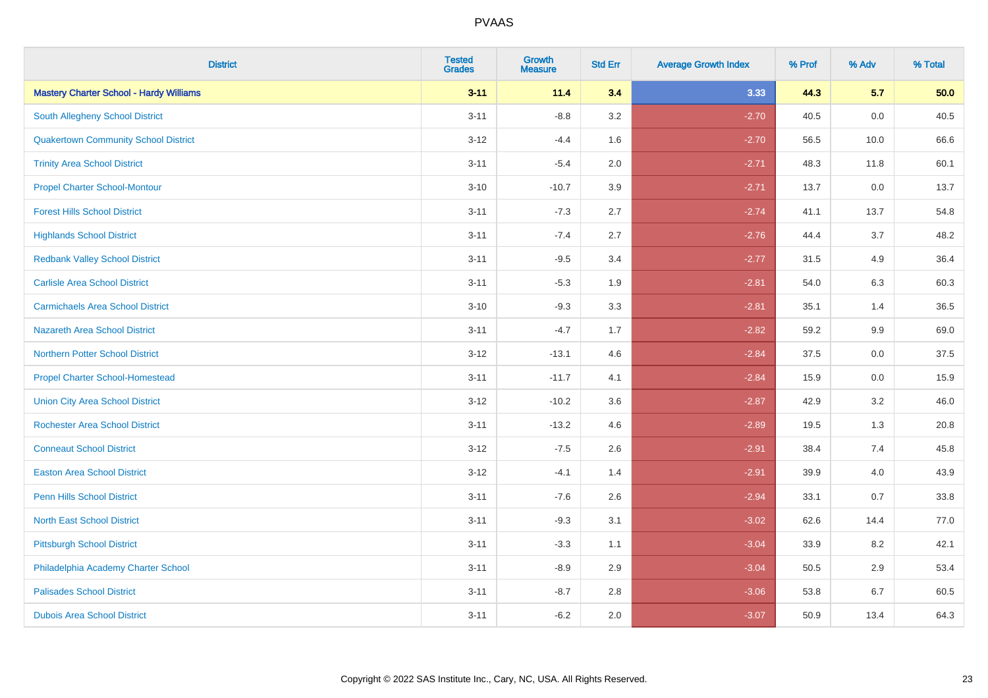| <b>District</b>                                | <b>Tested</b><br><b>Grades</b> | Growth<br><b>Measure</b> | <b>Std Err</b> | <b>Average Growth Index</b> | % Prof | % Adv | % Total |
|------------------------------------------------|--------------------------------|--------------------------|----------------|-----------------------------|--------|-------|---------|
| <b>Mastery Charter School - Hardy Williams</b> | $3 - 11$                       | 11.4                     | 3.4            | 3.33                        | 44.3   | 5.7   | 50.0    |
| <b>South Allegheny School District</b>         | $3 - 11$                       | $-8.8$                   | 3.2            | $-2.70$                     | 40.5   | 0.0   | 40.5    |
| <b>Quakertown Community School District</b>    | $3 - 12$                       | $-4.4$                   | 1.6            | $-2.70$                     | 56.5   | 10.0  | 66.6    |
| <b>Trinity Area School District</b>            | $3 - 11$                       | $-5.4$                   | 2.0            | $-2.71$                     | 48.3   | 11.8  | 60.1    |
| <b>Propel Charter School-Montour</b>           | $3 - 10$                       | $-10.7$                  | 3.9            | $-2.71$                     | 13.7   | 0.0   | 13.7    |
| <b>Forest Hills School District</b>            | $3 - 11$                       | $-7.3$                   | 2.7            | $-2.74$                     | 41.1   | 13.7  | 54.8    |
| <b>Highlands School District</b>               | $3 - 11$                       | $-7.4$                   | 2.7            | $-2.76$                     | 44.4   | 3.7   | 48.2    |
| <b>Redbank Valley School District</b>          | $3 - 11$                       | $-9.5$                   | 3.4            | $-2.77$                     | 31.5   | 4.9   | 36.4    |
| <b>Carlisle Area School District</b>           | $3 - 11$                       | $-5.3$                   | 1.9            | $-2.81$                     | 54.0   | 6.3   | 60.3    |
| <b>Carmichaels Area School District</b>        | $3 - 10$                       | $-9.3$                   | 3.3            | $-2.81$                     | 35.1   | 1.4   | 36.5    |
| <b>Nazareth Area School District</b>           | $3 - 11$                       | $-4.7$                   | 1.7            | $-2.82$                     | 59.2   | 9.9   | 69.0    |
| <b>Northern Potter School District</b>         | $3 - 12$                       | $-13.1$                  | 4.6            | $-2.84$                     | 37.5   | 0.0   | 37.5    |
| <b>Propel Charter School-Homestead</b>         | $3 - 11$                       | $-11.7$                  | 4.1            | $-2.84$                     | 15.9   | 0.0   | 15.9    |
| <b>Union City Area School District</b>         | $3 - 12$                       | $-10.2$                  | 3.6            | $-2.87$                     | 42.9   | 3.2   | 46.0    |
| <b>Rochester Area School District</b>          | $3 - 11$                       | $-13.2$                  | 4.6            | $-2.89$                     | 19.5   | 1.3   | 20.8    |
| <b>Conneaut School District</b>                | $3 - 12$                       | $-7.5$                   | 2.6            | $-2.91$                     | 38.4   | 7.4   | 45.8    |
| <b>Easton Area School District</b>             | $3-12$                         | $-4.1$                   | 1.4            | $-2.91$                     | 39.9   | 4.0   | 43.9    |
| <b>Penn Hills School District</b>              | $3 - 11$                       | $-7.6$                   | 2.6            | $-2.94$                     | 33.1   | 0.7   | 33.8    |
| <b>North East School District</b>              | $3 - 11$                       | $-9.3$                   | 3.1            | $-3.02$                     | 62.6   | 14.4  | 77.0    |
| <b>Pittsburgh School District</b>              | $3 - 11$                       | $-3.3$                   | 1.1            | $-3.04$                     | 33.9   | 8.2   | 42.1    |
| Philadelphia Academy Charter School            | $3 - 11$                       | $-8.9$                   | 2.9            | $-3.04$                     | 50.5   | 2.9   | 53.4    |
| <b>Palisades School District</b>               | $3 - 11$                       | $-8.7$                   | 2.8            | $-3.06$                     | 53.8   | 6.7   | 60.5    |
| <b>Dubois Area School District</b>             | $3 - 11$                       | $-6.2$                   | 2.0            | $-3.07$                     | 50.9   | 13.4  | 64.3    |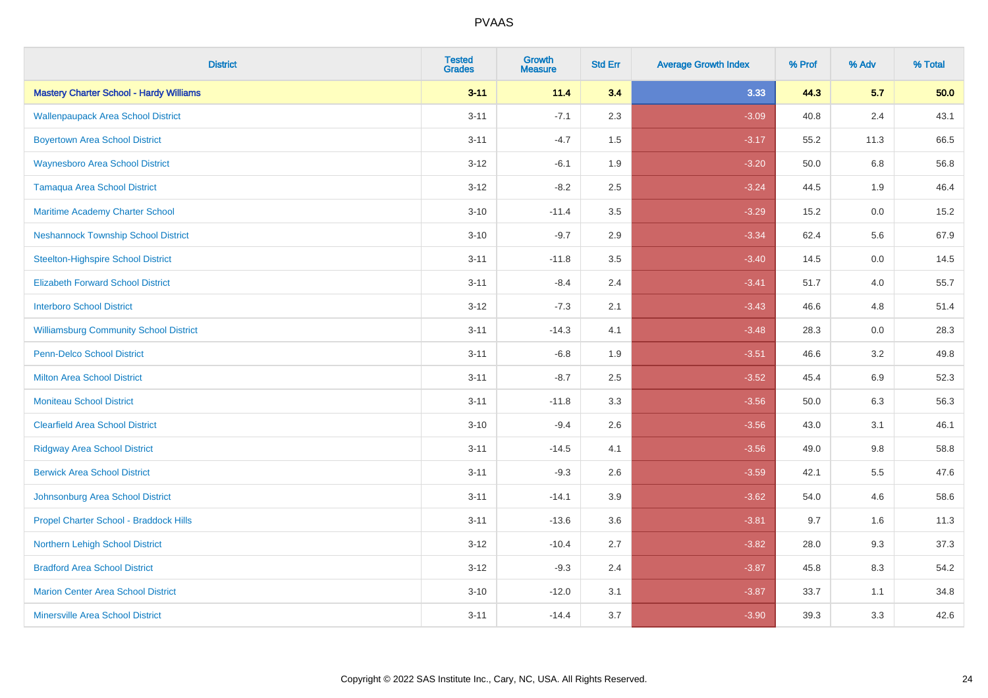| <b>District</b>                                | <b>Tested</b><br><b>Grades</b> | Growth<br><b>Measure</b> | <b>Std Err</b> | <b>Average Growth Index</b> | % Prof | % Adv   | % Total |
|------------------------------------------------|--------------------------------|--------------------------|----------------|-----------------------------|--------|---------|---------|
| <b>Mastery Charter School - Hardy Williams</b> | $3 - 11$                       | 11.4                     | 3.4            | 3.33                        | 44.3   | 5.7     | 50.0    |
| <b>Wallenpaupack Area School District</b>      | $3 - 11$                       | $-7.1$                   | 2.3            | $-3.09$                     | 40.8   | 2.4     | 43.1    |
| <b>Boyertown Area School District</b>          | $3 - 11$                       | $-4.7$                   | 1.5            | $-3.17$                     | 55.2   | 11.3    | 66.5    |
| <b>Waynesboro Area School District</b>         | $3 - 12$                       | $-6.1$                   | 1.9            | $-3.20$                     | 50.0   | 6.8     | 56.8    |
| <b>Tamaqua Area School District</b>            | $3 - 12$                       | $-8.2$                   | 2.5            | $-3.24$                     | 44.5   | 1.9     | 46.4    |
| Maritime Academy Charter School                | $3 - 10$                       | $-11.4$                  | 3.5            | $-3.29$                     | 15.2   | $0.0\,$ | 15.2    |
| <b>Neshannock Township School District</b>     | $3 - 10$                       | $-9.7$                   | 2.9            | $-3.34$                     | 62.4   | 5.6     | 67.9    |
| <b>Steelton-Highspire School District</b>      | $3 - 11$                       | $-11.8$                  | 3.5            | $-3.40$                     | 14.5   | 0.0     | 14.5    |
| <b>Elizabeth Forward School District</b>       | $3 - 11$                       | $-8.4$                   | 2.4            | $-3.41$                     | 51.7   | 4.0     | 55.7    |
| <b>Interboro School District</b>               | $3 - 12$                       | $-7.3$                   | 2.1            | $-3.43$                     | 46.6   | 4.8     | 51.4    |
| <b>Williamsburg Community School District</b>  | $3 - 11$                       | $-14.3$                  | 4.1            | $-3.48$                     | 28.3   | 0.0     | 28.3    |
| <b>Penn-Delco School District</b>              | $3 - 11$                       | $-6.8$                   | 1.9            | $-3.51$                     | 46.6   | 3.2     | 49.8    |
| <b>Milton Area School District</b>             | $3 - 11$                       | $-8.7$                   | 2.5            | $-3.52$                     | 45.4   | 6.9     | 52.3    |
| <b>Moniteau School District</b>                | $3 - 11$                       | $-11.8$                  | 3.3            | $-3.56$                     | 50.0   | 6.3     | 56.3    |
| <b>Clearfield Area School District</b>         | $3 - 10$                       | $-9.4$                   | 2.6            | $-3.56$                     | 43.0   | 3.1     | 46.1    |
| <b>Ridgway Area School District</b>            | $3 - 11$                       | $-14.5$                  | 4.1            | $-3.56$                     | 49.0   | 9.8     | 58.8    |
| <b>Berwick Area School District</b>            | $3 - 11$                       | $-9.3$                   | 2.6            | $-3.59$                     | 42.1   | 5.5     | 47.6    |
| Johnsonburg Area School District               | $3 - 11$                       | $-14.1$                  | 3.9            | $-3.62$                     | 54.0   | 4.6     | 58.6    |
| Propel Charter School - Braddock Hills         | $3 - 11$                       | $-13.6$                  | 3.6            | $-3.81$                     | 9.7    | 1.6     | 11.3    |
| Northern Lehigh School District                | $3 - 12$                       | $-10.4$                  | 2.7            | $-3.82$                     | 28.0   | 9.3     | 37.3    |
| <b>Bradford Area School District</b>           | $3 - 12$                       | $-9.3$                   | 2.4            | $-3.87$                     | 45.8   | 8.3     | 54.2    |
| <b>Marion Center Area School District</b>      | $3 - 10$                       | $-12.0$                  | 3.1            | $-3.87$                     | 33.7   | 1.1     | 34.8    |
| <b>Minersville Area School District</b>        | $3 - 11$                       | $-14.4$                  | 3.7            | $-3.90$                     | 39.3   | 3.3     | 42.6    |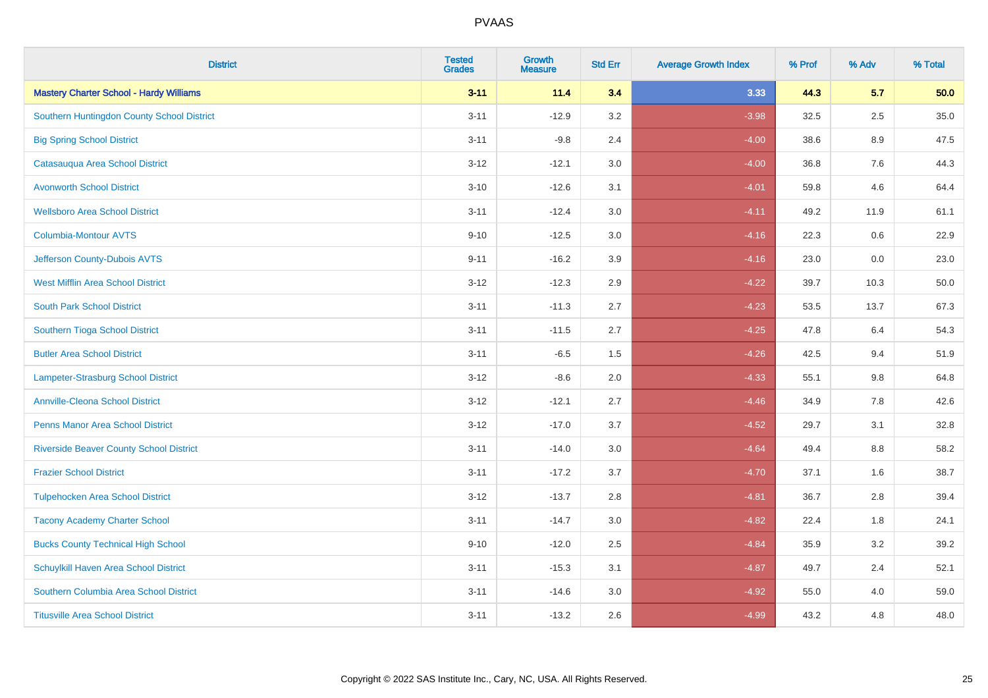| <b>District</b>                                | <b>Tested</b><br><b>Grades</b> | <b>Growth</b><br><b>Measure</b> | <b>Std Err</b> | <b>Average Growth Index</b> | % Prof | % Adv   | % Total |
|------------------------------------------------|--------------------------------|---------------------------------|----------------|-----------------------------|--------|---------|---------|
| <b>Mastery Charter School - Hardy Williams</b> | $3 - 11$                       | 11.4                            | 3.4            | 3.33                        | 44.3   | 5.7     | 50.0    |
| Southern Huntingdon County School District     | $3 - 11$                       | $-12.9$                         | 3.2            | $-3.98$                     | 32.5   | 2.5     | 35.0    |
| <b>Big Spring School District</b>              | $3 - 11$                       | $-9.8$                          | 2.4            | $-4.00$                     | 38.6   | 8.9     | 47.5    |
| Catasauqua Area School District                | $3 - 12$                       | $-12.1$                         | 3.0            | $-4.00$                     | 36.8   | 7.6     | 44.3    |
| <b>Avonworth School District</b>               | $3 - 10$                       | $-12.6$                         | 3.1            | $-4.01$                     | 59.8   | 4.6     | 64.4    |
| <b>Wellsboro Area School District</b>          | $3 - 11$                       | $-12.4$                         | 3.0            | $-4.11$                     | 49.2   | 11.9    | 61.1    |
| Columbia-Montour AVTS                          | $9 - 10$                       | $-12.5$                         | 3.0            | $-4.16$                     | 22.3   | 0.6     | 22.9    |
| Jefferson County-Dubois AVTS                   | $9 - 11$                       | $-16.2$                         | 3.9            | $-4.16$                     | 23.0   | 0.0     | 23.0    |
| <b>West Mifflin Area School District</b>       | $3 - 12$                       | $-12.3$                         | 2.9            | $-4.22$                     | 39.7   | 10.3    | 50.0    |
| <b>South Park School District</b>              | $3 - 11$                       | $-11.3$                         | 2.7            | $-4.23$                     | 53.5   | 13.7    | 67.3    |
| Southern Tioga School District                 | $3 - 11$                       | $-11.5$                         | 2.7            | $-4.25$                     | 47.8   | 6.4     | 54.3    |
| <b>Butler Area School District</b>             | $3 - 11$                       | $-6.5$                          | 1.5            | $-4.26$                     | 42.5   | 9.4     | 51.9    |
| Lampeter-Strasburg School District             | $3 - 12$                       | $-8.6$                          | 2.0            | $-4.33$                     | 55.1   | $9.8\,$ | 64.8    |
| <b>Annville-Cleona School District</b>         | $3 - 12$                       | $-12.1$                         | 2.7            | $-4.46$                     | 34.9   | $7.8\,$ | 42.6    |
| <b>Penns Manor Area School District</b>        | $3 - 12$                       | $-17.0$                         | 3.7            | $-4.52$                     | 29.7   | 3.1     | 32.8    |
| <b>Riverside Beaver County School District</b> | $3 - 11$                       | $-14.0$                         | 3.0            | $-4.64$                     | 49.4   | 8.8     | 58.2    |
| <b>Frazier School District</b>                 | $3 - 11$                       | $-17.2$                         | 3.7            | $-4.70$                     | 37.1   | 1.6     | 38.7    |
| <b>Tulpehocken Area School District</b>        | $3 - 12$                       | $-13.7$                         | 2.8            | $-4.81$                     | 36.7   | 2.8     | 39.4    |
| <b>Tacony Academy Charter School</b>           | $3 - 11$                       | $-14.7$                         | 3.0            | $-4.82$                     | 22.4   | 1.8     | 24.1    |
| <b>Bucks County Technical High School</b>      | $9 - 10$                       | $-12.0$                         | 2.5            | $-4.84$                     | 35.9   | 3.2     | 39.2    |
| Schuylkill Haven Area School District          | $3 - 11$                       | $-15.3$                         | 3.1            | $-4.87$                     | 49.7   | 2.4     | 52.1    |
| Southern Columbia Area School District         | $3 - 11$                       | $-14.6$                         | 3.0            | $-4.92$                     | 55.0   | 4.0     | 59.0    |
| <b>Titusville Area School District</b>         | $3 - 11$                       | $-13.2$                         | 2.6            | $-4.99$                     | 43.2   | 4.8     | 48.0    |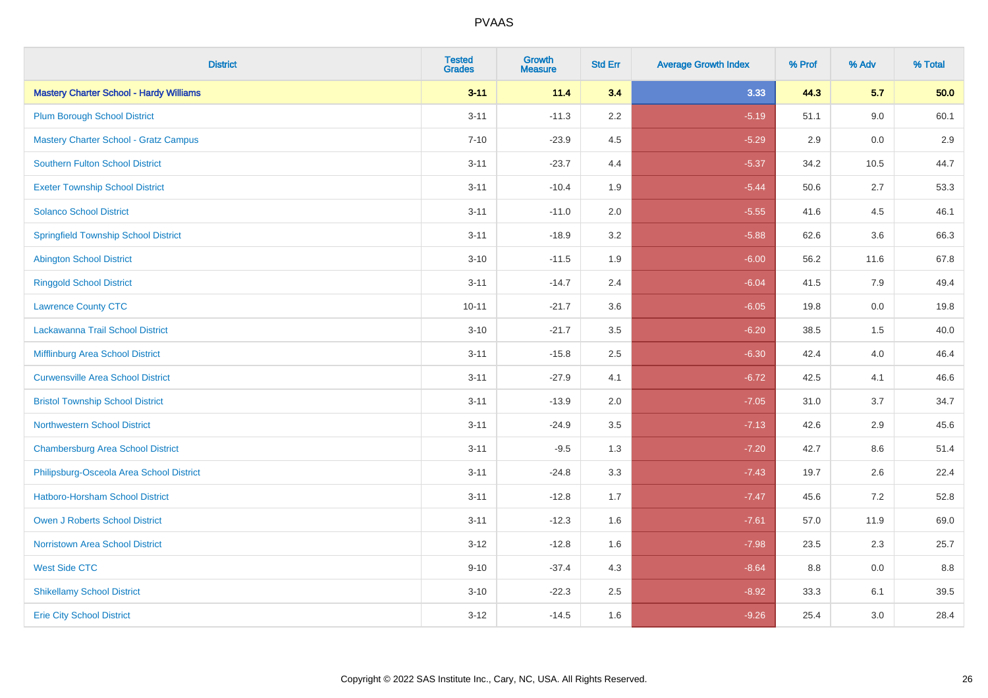| <b>District</b>                                | <b>Tested</b><br><b>Grades</b> | <b>Growth</b><br><b>Measure</b> | <b>Std Err</b> | <b>Average Growth Index</b> | % Prof | % Adv   | % Total |
|------------------------------------------------|--------------------------------|---------------------------------|----------------|-----------------------------|--------|---------|---------|
| <b>Mastery Charter School - Hardy Williams</b> | $3 - 11$                       | 11.4                            | 3.4            | 3.33                        | 44.3   | 5.7     | 50.0    |
| <b>Plum Borough School District</b>            | $3 - 11$                       | $-11.3$                         | 2.2            | $-5.19$                     | 51.1   | 9.0     | 60.1    |
| <b>Mastery Charter School - Gratz Campus</b>   | $7 - 10$                       | $-23.9$                         | 4.5            | $-5.29$                     | 2.9    | 0.0     | 2.9     |
| Southern Fulton School District                | $3 - 11$                       | $-23.7$                         | 4.4            | $-5.37$                     | 34.2   | 10.5    | 44.7    |
| <b>Exeter Township School District</b>         | $3 - 11$                       | $-10.4$                         | 1.9            | $-5.44$                     | 50.6   | 2.7     | 53.3    |
| <b>Solanco School District</b>                 | $3 - 11$                       | $-11.0$                         | 2.0            | $-5.55$                     | 41.6   | 4.5     | 46.1    |
| <b>Springfield Township School District</b>    | $3 - 11$                       | $-18.9$                         | 3.2            | $-5.88$                     | 62.6   | 3.6     | 66.3    |
| <b>Abington School District</b>                | $3 - 10$                       | $-11.5$                         | 1.9            | $-6.00$                     | 56.2   | 11.6    | 67.8    |
| <b>Ringgold School District</b>                | $3 - 11$                       | $-14.7$                         | 2.4            | $-6.04$                     | 41.5   | 7.9     | 49.4    |
| <b>Lawrence County CTC</b>                     | $10 - 11$                      | $-21.7$                         | 3.6            | $-6.05$                     | 19.8   | $0.0\,$ | 19.8    |
| Lackawanna Trail School District               | $3 - 10$                       | $-21.7$                         | 3.5            | $-6.20$                     | 38.5   | 1.5     | 40.0    |
| <b>Mifflinburg Area School District</b>        | $3 - 11$                       | $-15.8$                         | 2.5            | $-6.30$                     | 42.4   | 4.0     | 46.4    |
| <b>Curwensville Area School District</b>       | $3 - 11$                       | $-27.9$                         | 4.1            | $-6.72$                     | 42.5   | 4.1     | 46.6    |
| <b>Bristol Township School District</b>        | $3 - 11$                       | $-13.9$                         | 2.0            | $-7.05$                     | 31.0   | 3.7     | 34.7    |
| <b>Northwestern School District</b>            | $3 - 11$                       | $-24.9$                         | 3.5            | $-7.13$                     | 42.6   | 2.9     | 45.6    |
| <b>Chambersburg Area School District</b>       | $3 - 11$                       | $-9.5$                          | 1.3            | $-7.20$                     | 42.7   | 8.6     | 51.4    |
| Philipsburg-Osceola Area School District       | $3 - 11$                       | $-24.8$                         | 3.3            | $-7.43$                     | 19.7   | 2.6     | 22.4    |
| <b>Hatboro-Horsham School District</b>         | $3 - 11$                       | $-12.8$                         | 1.7            | $-7.47$                     | 45.6   | 7.2     | 52.8    |
| Owen J Roberts School District                 | $3 - 11$                       | $-12.3$                         | 1.6            | $-7.61$                     | 57.0   | 11.9    | 69.0    |
| <b>Norristown Area School District</b>         | $3 - 12$                       | $-12.8$                         | 1.6            | $-7.98$                     | 23.5   | 2.3     | 25.7    |
| <b>West Side CTC</b>                           | $9 - 10$                       | $-37.4$                         | 4.3            | $-8.64$                     | 8.8    | 0.0     | 8.8     |
| <b>Shikellamy School District</b>              | $3 - 10$                       | $-22.3$                         | 2.5            | $-8.92$                     | 33.3   | 6.1     | 39.5    |
| <b>Erie City School District</b>               | $3 - 12$                       | $-14.5$                         | 1.6            | $-9.26$                     | 25.4   | 3.0     | 28.4    |